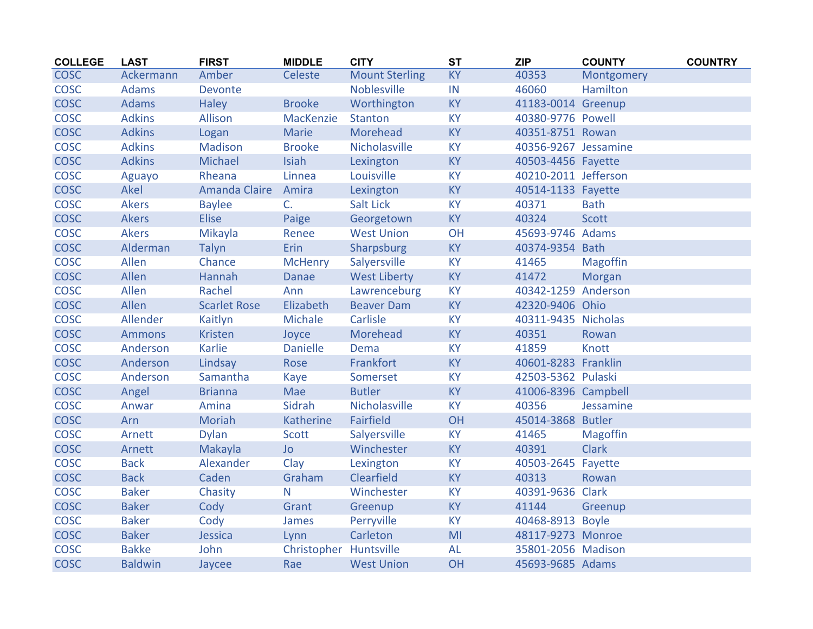| <b>COLLEGE</b> | <b>LAST</b>    | <b>FIRST</b>         | <b>MIDDLE</b>          | <b>CITY</b>           | <b>ST</b> | <b>ZIP</b>           | <b>COUNTY</b>   | <b>COUNTRY</b> |
|----------------|----------------|----------------------|------------------------|-----------------------|-----------|----------------------|-----------------|----------------|
| <b>COSC</b>    | Ackermann      | Amber                | Celeste                | <b>Mount Sterling</b> | <b>KY</b> | 40353                | Montgomery      |                |
| <b>COSC</b>    | <b>Adams</b>   | Devonte              |                        | Noblesville           | IN        | 46060                | Hamilton        |                |
| <b>COSC</b>    | <b>Adams</b>   | <b>Haley</b>         | <b>Brooke</b>          | Worthington           | KY        | 41183-0014 Greenup   |                 |                |
| <b>COSC</b>    | <b>Adkins</b>  | Allison              | MacKenzie              | <b>Stanton</b>        | <b>KY</b> | 40380-9776 Powell    |                 |                |
| <b>COSC</b>    | <b>Adkins</b>  | Logan                | <b>Marie</b>           | Morehead              | <b>KY</b> | 40351-8751 Rowan     |                 |                |
| <b>COSC</b>    | <b>Adkins</b>  | Madison              | <b>Brooke</b>          | Nicholasville         | <b>KY</b> | 40356-9267 Jessamine |                 |                |
| <b>COSC</b>    | <b>Adkins</b>  | Michael              | Isiah                  | Lexington             | <b>KY</b> | 40503-4456 Fayette   |                 |                |
| <b>COSC</b>    | Aguayo         | Rheana               | Linnea                 | Louisville            | <b>KY</b> | 40210-2011 Jefferson |                 |                |
| <b>COSC</b>    | Akel           | <b>Amanda Claire</b> | Amira                  | Lexington             | <b>KY</b> | 40514-1133 Fayette   |                 |                |
| <b>COSC</b>    | Akers          | <b>Baylee</b>        | C <sub>r</sub>         | Salt Lick             | <b>KY</b> | 40371                | <b>Bath</b>     |                |
| <b>COSC</b>    | <b>Akers</b>   | <b>Elise</b>         | Paige                  | Georgetown            | <b>KY</b> | 40324                | Scott           |                |
| <b>COSC</b>    | <b>Akers</b>   | Mikayla              | Renee                  | <b>West Union</b>     | OH        | 45693-9746 Adams     |                 |                |
| <b>COSC</b>    | Alderman       | Talyn                | Erin                   | Sharpsburg            | <b>KY</b> | 40374-9354 Bath      |                 |                |
| <b>COSC</b>    | Allen          | Chance               | <b>McHenry</b>         | Salyersville          | <b>KY</b> | 41465                | <b>Magoffin</b> |                |
| <b>COSC</b>    | Allen          | Hannah               | <b>Danae</b>           | <b>West Liberty</b>   | <b>KY</b> | 41472                | Morgan          |                |
| <b>COSC</b>    | Allen          | Rachel               | Ann                    | Lawrenceburg          | KY        | 40342-1259 Anderson  |                 |                |
| <b>COSC</b>    | Allen          | <b>Scarlet Rose</b>  | Elizabeth              | <b>Beaver Dam</b>     | <b>KY</b> | 42320-9406 Ohio      |                 |                |
| <b>COSC</b>    | Allender       | Kaitlyn              | Michale                | Carlisle              | KY        | 40311-9435 Nicholas  |                 |                |
| <b>COSC</b>    | <b>Ammons</b>  | Kristen              | Joyce                  | Morehead              | <b>KY</b> | 40351                | Rowan           |                |
| <b>COSC</b>    | Anderson       | Karlie               | <b>Danielle</b>        | Dema                  | KY        | 41859                | Knott           |                |
| <b>COSC</b>    | Anderson       | Lindsay              | Rose                   | Frankfort             | <b>KY</b> | 40601-8283 Franklin  |                 |                |
| COSC           | Anderson       | Samantha             | Kaye                   | Somerset              | <b>KY</b> | 42503-5362 Pulaski   |                 |                |
| <b>COSC</b>    | Angel          | <b>Brianna</b>       | Mae                    | <b>Butler</b>         | <b>KY</b> | 41006-8396 Campbell  |                 |                |
| <b>COSC</b>    | Anwar          | Amina                | Sidrah                 | Nicholasville         | <b>KY</b> | 40356                | Jessamine       |                |
| COSC           | Arn            | Moriah               | Katherine              | <b>Fairfield</b>      | OH        | 45014-3868 Butler    |                 |                |
| <b>COSC</b>    | Arnett         | <b>Dylan</b>         | Scott                  | Salyersville          | <b>KY</b> | 41465                | <b>Magoffin</b> |                |
| <b>COSC</b>    | Arnett         | Makayla              | <b>Jo</b>              | Winchester            | <b>KY</b> | 40391                | <b>Clark</b>    |                |
| <b>COSC</b>    | <b>Back</b>    | Alexander            | Clay                   | Lexington             | <b>KY</b> | 40503-2645 Fayette   |                 |                |
| <b>COSC</b>    | <b>Back</b>    | Caden                | Graham                 | Clearfield            | <b>KY</b> | 40313                | Rowan           |                |
| <b>COSC</b>    | <b>Baker</b>   | Chasity              | N                      | Winchester            | <b>KY</b> | 40391-9636 Clark     |                 |                |
| <b>COSC</b>    | <b>Baker</b>   | Cody                 | Grant                  | Greenup               | <b>KY</b> | 41144                | Greenup         |                |
| <b>COSC</b>    | <b>Baker</b>   | Cody                 | James                  | Perryville            | KY        | 40468-8913 Boyle     |                 |                |
| <b>COSC</b>    | <b>Baker</b>   | Jessica              | Lynn                   | Carleton              | MI        | 48117-9273 Monroe    |                 |                |
| <b>COSC</b>    | <b>Bakke</b>   | John                 | Christopher Huntsville |                       | <b>AL</b> | 35801-2056 Madison   |                 |                |
| <b>COSC</b>    | <b>Baldwin</b> | Jaycee               | Rae                    | <b>West Union</b>     | OH        | 45693-9685 Adams     |                 |                |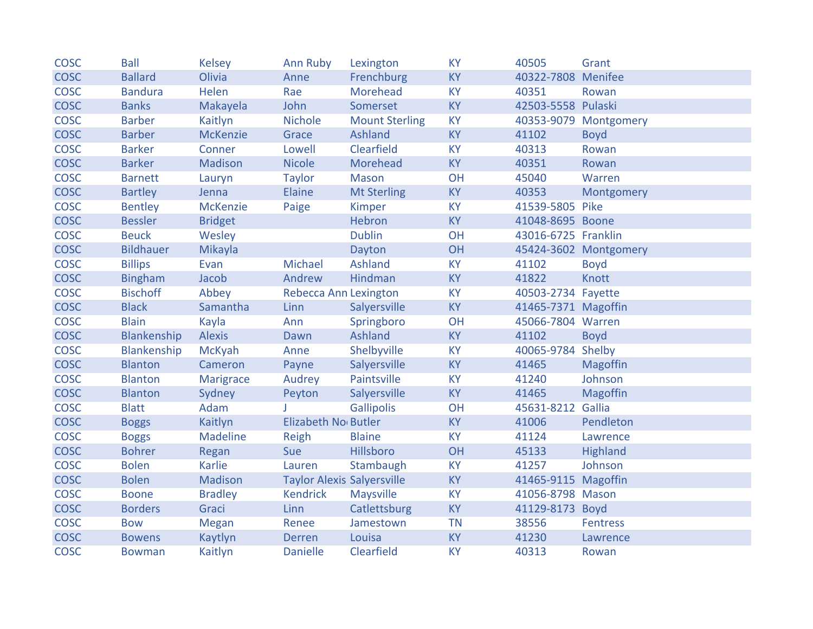| <b>COSC</b> | <b>Ball</b>      | <b>Kelsey</b>   | <b>Ann Ruby</b>                   | Lexington             | <b>KY</b> | 40505               | Grant                 |
|-------------|------------------|-----------------|-----------------------------------|-----------------------|-----------|---------------------|-----------------------|
| <b>COSC</b> | <b>Ballard</b>   | Olivia          | Anne                              | Frenchburg            | <b>KY</b> | 40322-7808 Menifee  |                       |
| <b>COSC</b> | <b>Bandura</b>   | Helen           | Rae                               | Morehead              | <b>KY</b> | 40351               | Rowan                 |
| <b>COSC</b> | <b>Banks</b>     | Makayela        | John                              | Somerset              | <b>KY</b> | 42503-5558 Pulaski  |                       |
| <b>COSC</b> | <b>Barber</b>    | Kaitlyn         | <b>Nichole</b>                    | <b>Mount Sterling</b> | KY        |                     | 40353-9079 Montgomery |
| <b>COSC</b> | <b>Barber</b>    | <b>McKenzie</b> | Grace                             | Ashland               | <b>KY</b> | 41102               | <b>Boyd</b>           |
| <b>COSC</b> | <b>Barker</b>    | Conner          | Lowell                            | Clearfield            | <b>KY</b> | 40313               | Rowan                 |
| <b>COSC</b> | <b>Barker</b>    | Madison         | <b>Nicole</b>                     | Morehead              | <b>KY</b> | 40351               | Rowan                 |
| <b>COSC</b> | <b>Barnett</b>   | Lauryn          | <b>Taylor</b>                     | Mason                 | OH        | 45040               | Warren                |
| <b>COSC</b> | <b>Bartley</b>   | Jenna           | Elaine                            | <b>Mt Sterling</b>    | <b>KY</b> | 40353               | Montgomery            |
| <b>COSC</b> | <b>Bentley</b>   | <b>McKenzie</b> | Paige                             | Kimper                | <b>KY</b> | 41539-5805 Pike     |                       |
| <b>COSC</b> | <b>Bessler</b>   | <b>Bridget</b>  |                                   | Hebron                | <b>KY</b> | 41048-8695 Boone    |                       |
| <b>COSC</b> | <b>Beuck</b>     | Wesley          |                                   | <b>Dublin</b>         | OH        | 43016-6725 Franklin |                       |
| <b>COSC</b> | <b>Bildhauer</b> | Mikayla         |                                   | Dayton                | OH        |                     | 45424-3602 Montgomery |
| <b>COSC</b> | <b>Billips</b>   | Evan            | Michael                           | Ashland               | <b>KY</b> | 41102               | <b>Boyd</b>           |
| <b>COSC</b> | <b>Bingham</b>   | Jacob           | Andrew                            | Hindman               | <b>KY</b> | 41822               | Knott                 |
| <b>COSC</b> | <b>Bischoff</b>  | Abbey           | <b>Rebecca Ann Lexington</b>      |                       | <b>KY</b> | 40503-2734 Fayette  |                       |
| <b>COSC</b> | <b>Black</b>     | Samantha        | Linn                              | Salyersville          | <b>KY</b> | 41465-7371 Magoffin |                       |
| <b>COSC</b> | <b>Blain</b>     | Kayla           | Ann                               | Springboro            | OH        | 45066-7804 Warren   |                       |
| <b>COSC</b> | Blankenship      | <b>Alexis</b>   | Dawn                              | Ashland               | <b>KY</b> | 41102               | <b>Boyd</b>           |
| <b>COSC</b> | Blankenship      | <b>McKyah</b>   | Anne                              | Shelbyville           | <b>KY</b> | 40065-9784 Shelby   |                       |
| <b>COSC</b> | <b>Blanton</b>   | Cameron         | Payne                             | Salyersville          | <b>KY</b> | 41465               | <b>Magoffin</b>       |
| <b>COSC</b> | <b>Blanton</b>   | Marigrace       | Audrey                            | Paintsville           | KY        | 41240               | Johnson               |
| <b>COSC</b> | <b>Blanton</b>   | Sydney          | Peyton                            | Salyersville          | <b>KY</b> | 41465               | Magoffin              |
| <b>COSC</b> | <b>Blatt</b>     | Adam            |                                   | <b>Gallipolis</b>     | OH        | 45631-8212 Gallia   |                       |
| <b>COSC</b> | <b>Boggs</b>     | Kaitlyn         | Elizabeth No Butler               |                       | <b>KY</b> | 41006               | Pendleton             |
| <b>COSC</b> | <b>Boggs</b>     | <b>Madeline</b> | Reigh                             | <b>Blaine</b>         | <b>KY</b> | 41124               | Lawrence              |
| <b>COSC</b> | <b>Bohrer</b>    | Regan           | Sue                               | Hillsboro             | OH        | 45133               | Highland              |
| <b>COSC</b> | <b>Bolen</b>     | Karlie          | Lauren                            | Stambaugh             | <b>KY</b> | 41257               | Johnson               |
| <b>COSC</b> | <b>Bolen</b>     | Madison         | <b>Taylor Alexis Salyersville</b> |                       | <b>KY</b> | 41465-9115 Magoffin |                       |
| <b>COSC</b> | <b>Boone</b>     | <b>Bradley</b>  | <b>Kendrick</b>                   | <b>Maysville</b>      | <b>KY</b> | 41056-8798 Mason    |                       |
| <b>COSC</b> | <b>Borders</b>   | Graci           | Linn                              | Catlettsburg          | <b>KY</b> | 41129-8173 Boyd     |                       |
| <b>COSC</b> | <b>Bow</b>       | Megan           | Renee                             | Jamestown             | <b>TN</b> | 38556               | <b>Fentress</b>       |
| <b>COSC</b> | <b>Bowens</b>    | Kaytlyn         | <b>Derren</b>                     | Louisa                | <b>KY</b> | 41230               | Lawrence              |
| <b>COSC</b> | <b>Bowman</b>    | Kaitlyn         | <b>Danielle</b>                   | Clearfield            | <b>KY</b> | 40313               | Rowan                 |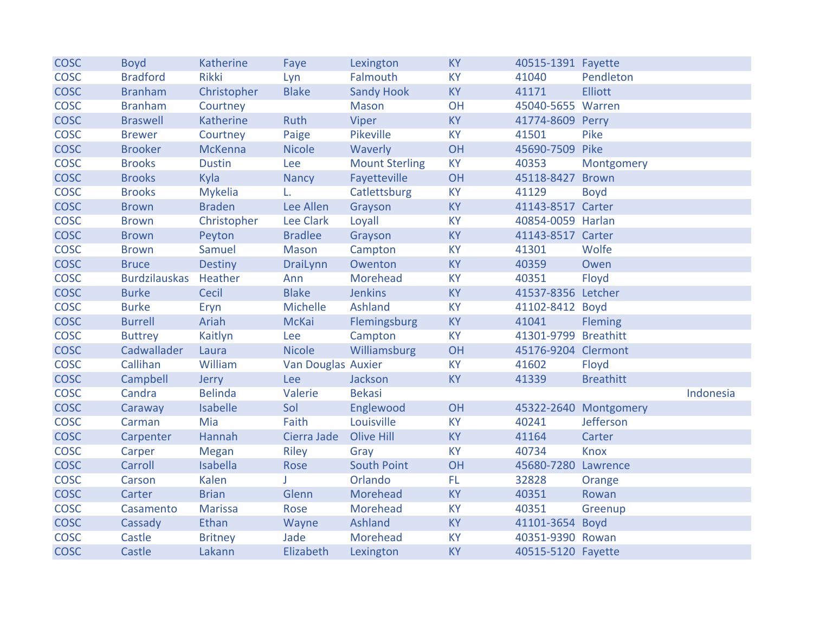| <b>COSC</b> | <b>Boyd</b>          | <b>Katherine</b> | Faye               | Lexington             | <b>KY</b> | 40515-1391 Fayette   |                       |           |
|-------------|----------------------|------------------|--------------------|-----------------------|-----------|----------------------|-----------------------|-----------|
| <b>COSC</b> | <b>Bradford</b>      | <b>Rikki</b>     | Lyn                | Falmouth              | <b>KY</b> | 41040                | Pendleton             |           |
| <b>COSC</b> | <b>Branham</b>       | Christopher      | <b>Blake</b>       | <b>Sandy Hook</b>     | <b>KY</b> | 41171                | <b>Elliott</b>        |           |
| <b>COSC</b> | <b>Branham</b>       | Courtney         |                    | <b>Mason</b>          | OH        | 45040-5655 Warren    |                       |           |
| <b>COSC</b> | <b>Braswell</b>      | <b>Katherine</b> | <b>Ruth</b>        | Viper                 | <b>KY</b> | 41774-8609 Perry     |                       |           |
| <b>COSC</b> | <b>Brewer</b>        | Courtney         | Paige              | Pikeville             | <b>KY</b> | 41501                | Pike                  |           |
| <b>COSC</b> | <b>Brooker</b>       | <b>McKenna</b>   | <b>Nicole</b>      | Waverly               | OH        | 45690-7509 Pike      |                       |           |
| <b>COSC</b> | <b>Brooks</b>        | <b>Dustin</b>    | Lee                | <b>Mount Sterling</b> | <b>KY</b> | 40353                | Montgomery            |           |
| <b>COSC</b> | <b>Brooks</b>        | Kyla             | <b>Nancy</b>       | Fayetteville          | OH        | 45118-8427           | <b>Brown</b>          |           |
| <b>COSC</b> | <b>Brooks</b>        | <b>Mykelia</b>   | L.                 | Catlettsburg          | <b>KY</b> | 41129                | <b>Boyd</b>           |           |
| <b>COSC</b> | <b>Brown</b>         | <b>Braden</b>    | Lee Allen          | Grayson               | <b>KY</b> | 41143-8517 Carter    |                       |           |
| <b>COSC</b> | <b>Brown</b>         | Christopher      | <b>Lee Clark</b>   | Loyall                | <b>KY</b> | 40854-0059 Harlan    |                       |           |
| <b>COSC</b> | <b>Brown</b>         | Peyton           | <b>Bradlee</b>     | Grayson               | <b>KY</b> | 41143-8517 Carter    |                       |           |
| <b>COSC</b> | <b>Brown</b>         | Samuel           | <b>Mason</b>       | Campton               | <b>KY</b> | 41301                | Wolfe                 |           |
| <b>COSC</b> | <b>Bruce</b>         | <b>Destiny</b>   | <b>DraiLynn</b>    | Owenton               | <b>KY</b> | 40359                | Owen                  |           |
| <b>COSC</b> | <b>Burdzilauskas</b> | Heather          | Ann                | Morehead              | <b>KY</b> | 40351                | Floyd                 |           |
| <b>COSC</b> | <b>Burke</b>         | Cecil            | <b>Blake</b>       | <b>Jenkins</b>        | <b>KY</b> | 41537-8356 Letcher   |                       |           |
| <b>COSC</b> | <b>Burke</b>         | Eryn             | Michelle           | Ashland               | <b>KY</b> | 41102-8412 Boyd      |                       |           |
| <b>COSC</b> | <b>Burrell</b>       | Ariah            | <b>McKai</b>       | Flemingsburg          | <b>KY</b> | 41041                | <b>Fleming</b>        |           |
| <b>COSC</b> | <b>Buttrey</b>       | Kaitlyn          | Lee                | Campton               | <b>KY</b> | 41301-9799 Breathitt |                       |           |
| <b>COSC</b> | Cadwallader          | Laura            | <b>Nicole</b>      | Williamsburg          | OH        | 45176-9204 Clermont  |                       |           |
| <b>COSC</b> | Callihan             | William          | Van Douglas Auxier |                       | <b>KY</b> | 41602                | Floyd                 |           |
| <b>COSC</b> | Campbell             | Jerry            | Lee                | Jackson               | <b>KY</b> | 41339                | <b>Breathitt</b>      |           |
| <b>COSC</b> | Candra               | <b>Belinda</b>   | Valerie            | <b>Bekasi</b>         |           |                      |                       | Indonesia |
| <b>COSC</b> | Caraway              | Isabelle         | Sol                | Englewood             | OH        |                      | 45322-2640 Montgomery |           |
| <b>COSC</b> | Carman               | Mia              | Faith              | Louisville            | <b>KY</b> | 40241                | Jefferson             |           |
| <b>COSC</b> | Carpenter            | Hannah           | Cierra Jade        | <b>Olive Hill</b>     | <b>KY</b> | 41164                | Carter                |           |
| <b>COSC</b> | Carper               | <b>Megan</b>     | Riley              | Gray                  | <b>KY</b> | 40734                | <b>Knox</b>           |           |
| <b>COSC</b> | Carroll              | Isabella         | Rose               | <b>South Point</b>    | OH        | 45680-7280 Lawrence  |                       |           |
| <b>COSC</b> | Carson               | Kalen            |                    | Orlando               | FL.       | 32828                | Orange                |           |
| <b>COSC</b> | Carter               | <b>Brian</b>     | Glenn              | Morehead              | <b>KY</b> | 40351                | Rowan                 |           |
| <b>COSC</b> | Casamento            | <b>Marissa</b>   | Rose               | Morehead              | <b>KY</b> | 40351                | Greenup               |           |
| <b>COSC</b> | Cassady              | Ethan            | Wayne              | Ashland               | <b>KY</b> | 41101-3654 Boyd      |                       |           |
| <b>COSC</b> | Castle               | <b>Britney</b>   | Jade               | Morehead              | <b>KY</b> | 40351-9390 Rowan     |                       |           |
| <b>COSC</b> | Castle               | Lakann           | Elizabeth          | Lexington             | <b>KY</b> | 40515-5120 Fayette   |                       |           |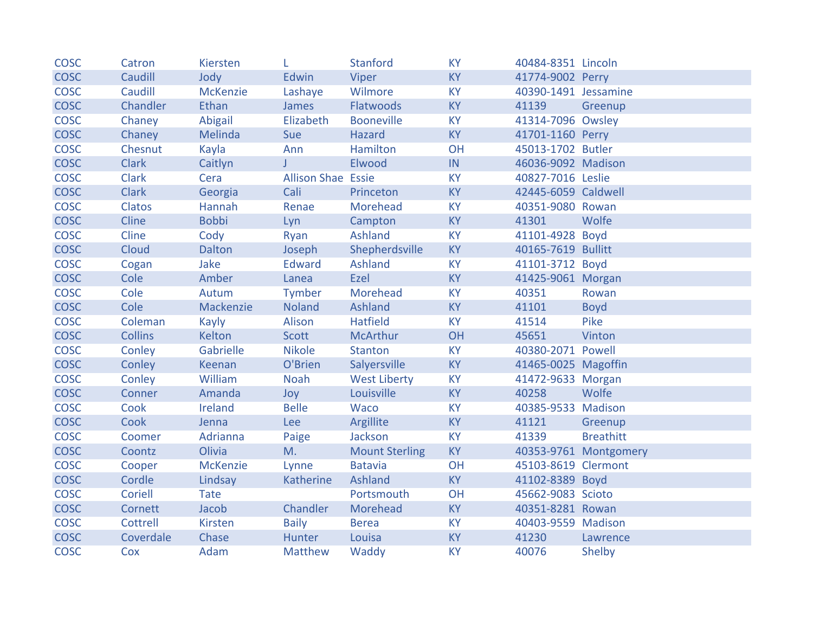| <b>COSC</b> | Catron          | Kiersten        | L                         | <b>Stanford</b>       | <b>KY</b> | 40484-8351 Lincoln   |                       |
|-------------|-----------------|-----------------|---------------------------|-----------------------|-----------|----------------------|-----------------------|
| <b>COSC</b> | Caudill         | Jody            | Edwin                     | Viper                 | <b>KY</b> | 41774-9002 Perry     |                       |
| <b>COSC</b> | Caudill         | <b>McKenzie</b> | Lashaye                   | Wilmore               | <b>KY</b> | 40390-1491 Jessamine |                       |
| <b>COSC</b> | <b>Chandler</b> | Ethan           | James                     | Flatwoods             | <b>KY</b> | 41139                | Greenup               |
| <b>COSC</b> | Chaney          | Abigail         | Elizabeth                 | <b>Booneville</b>     | <b>KY</b> | 41314-7096 Owsley    |                       |
| <b>COSC</b> | Chaney          | Melinda         | Sue                       | Hazard                | <b>KY</b> | 41701-1160 Perry     |                       |
| <b>COSC</b> | Chesnut         | Kayla           | Ann                       | Hamilton              | OH        | 45013-1702 Butler    |                       |
| <b>COSC</b> | <b>Clark</b>    | Caitlyn         | $J -$                     | Elwood                | IN        | 46036-9092 Madison   |                       |
| <b>COSC</b> | Clark           | Cera            | <b>Allison Shae Essie</b> |                       | <b>KY</b> | 40827-7016 Leslie    |                       |
| <b>COSC</b> | <b>Clark</b>    | Georgia         | Cali                      | Princeton             | <b>KY</b> | 42445-6059 Caldwell  |                       |
| <b>COSC</b> | Clatos          | Hannah          | Renae                     | Morehead              | <b>KY</b> | 40351-9080 Rowan     |                       |
| <b>COSC</b> | Cline           | <b>Bobbi</b>    | Lyn                       | Campton               | <b>KY</b> | 41301                | Wolfe                 |
| COSC        | Cline           | Cody            | Ryan                      | Ashland               | <b>KY</b> | 41101-4928 Boyd      |                       |
| <b>COSC</b> | Cloud           | Dalton          | Joseph                    | Shepherdsville        | <b>KY</b> | 40165-7619 Bullitt   |                       |
| <b>COSC</b> | Cogan           | Jake            | Edward                    | Ashland               | <b>KY</b> | 41101-3712 Boyd      |                       |
| <b>COSC</b> | Cole            | Amber           | Lanea                     | Ezel                  | <b>KY</b> | 41425-9061 Morgan    |                       |
| <b>COSC</b> | Cole            | Autum           | Tymber                    | Morehead              | <b>KY</b> | 40351                | Rowan                 |
| <b>COSC</b> | Cole            | Mackenzie       | Noland                    | Ashland               | <b>KY</b> | 41101                | <b>Boyd</b>           |
| <b>COSC</b> | Coleman         | Kayly           | Alison                    | <b>Hatfield</b>       | <b>KY</b> | 41514                | Pike                  |
| <b>COSC</b> | <b>Collins</b>  | Kelton          | Scott                     | <b>McArthur</b>       | OH        | 45651                | Vinton                |
| <b>COSC</b> | Conley          | Gabrielle       | <b>Nikole</b>             | <b>Stanton</b>        | <b>KY</b> | 40380-2071 Powell    |                       |
| <b>COSC</b> | Conley          | Keenan          | O'Brien                   | Salyersville          | <b>KY</b> | 41465-0025 Magoffin  |                       |
| <b>COSC</b> | Conley          | William         | Noah                      | <b>West Liberty</b>   | <b>KY</b> | 41472-9633 Morgan    |                       |
| <b>COSC</b> | Conner          | Amanda          | Joy                       | Louisville            | <b>KY</b> | 40258                | Wolfe                 |
| <b>COSC</b> | Cook            | Ireland         | <b>Belle</b>              | <b>Waco</b>           | <b>KY</b> | 40385-9533 Madison   |                       |
| <b>COSC</b> | Cook            | Jenna           | <b>Lee</b>                | Argillite             | <b>KY</b> | 41121                | Greenup               |
| COSC        | Coomer          | Adrianna        | Paige                     | Jackson               | <b>KY</b> | 41339                | <b>Breathitt</b>      |
| <b>COSC</b> | Coontz          | Olivia          | M.                        | <b>Mount Sterling</b> | <b>KY</b> |                      | 40353-9761 Montgomery |
| <b>COSC</b> | Cooper          | <b>McKenzie</b> | Lynne                     | <b>Batavia</b>        | OH        | 45103-8619 Clermont  |                       |
| <b>COSC</b> | Cordle          | Lindsay         | Katherine                 | <b>Ashland</b>        | <b>KY</b> | 41102-8389 Boyd      |                       |
| <b>COSC</b> | Coriell         | Tate            |                           | Portsmouth            | OH        | 45662-9083 Scioto    |                       |
| <b>COSC</b> | Cornett         | Jacob           | Chandler                  | Morehead              | <b>KY</b> | 40351-8281 Rowan     |                       |
| <b>COSC</b> | Cottrell        | Kirsten         | <b>Baily</b>              | <b>Berea</b>          | <b>KY</b> | 40403-9559 Madison   |                       |
| <b>COSC</b> | Coverdale       | Chase           | Hunter                    | Louisa                | <b>KY</b> | 41230                | Lawrence              |
| <b>COSC</b> | Cox             | Adam            | <b>Matthew</b>            | Waddy                 | <b>KY</b> | 40076                | Shelby                |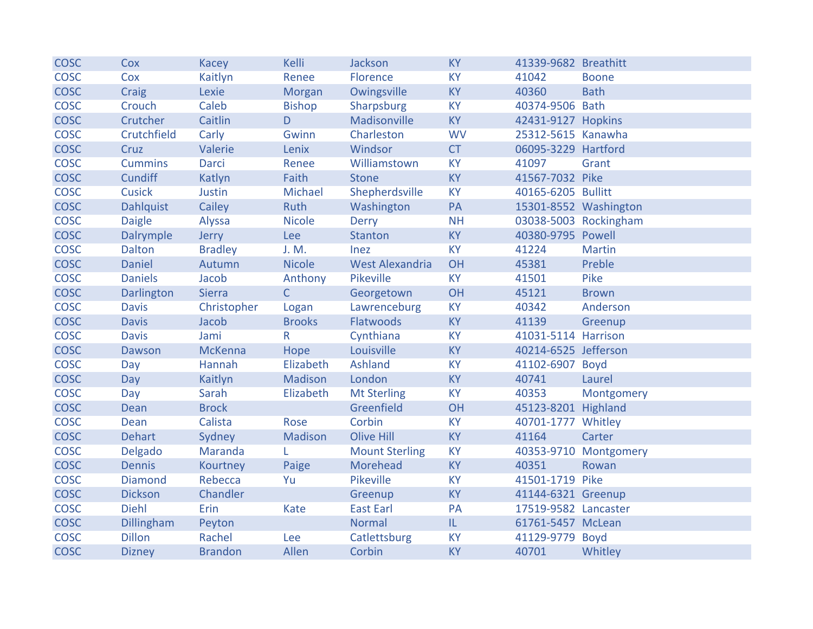| <b>COSC</b> | Cox              | <b>Kacey</b>   | Kelli          | Jackson                | <b>KY</b> | 41339-9682 Breathitt |                       |
|-------------|------------------|----------------|----------------|------------------------|-----------|----------------------|-----------------------|
| <b>COSC</b> | Cox              | Kaitlyn        | Renee          | Florence               | <b>KY</b> | 41042                | <b>Boone</b>          |
| <b>COSC</b> | Craig            | Lexie          | Morgan         | Owingsville            | <b>KY</b> | 40360                | <b>Bath</b>           |
| <b>COSC</b> | Crouch           | Caleb          | <b>Bishop</b>  | Sharpsburg             | <b>KY</b> | 40374-9506 Bath      |                       |
| <b>COSC</b> | Crutcher         | Caitlin        | D.             | Madisonville           | <b>KY</b> | 42431-9127 Hopkins   |                       |
| <b>COSC</b> | Crutchfield      | Carly          | Gwinn          | Charleston             | <b>WV</b> | 25312-5615 Kanawha   |                       |
| <b>COSC</b> | Cruz             | Valerie        | Lenix          | Windsor                | <b>CT</b> | 06095-3229 Hartford  |                       |
| <b>COSC</b> | <b>Cummins</b>   | <b>Darci</b>   | Renee          | Williamstown           | <b>KY</b> | 41097                | Grant                 |
| <b>COSC</b> | <b>Cundiff</b>   | Katlyn         | Faith          | <b>Stone</b>           | <b>KY</b> | 41567-7032 Pike      |                       |
| <b>COSC</b> | <b>Cusick</b>    | Justin         | Michael        | Shepherdsville         | <b>KY</b> | 40165-6205 Bullitt   |                       |
| <b>COSC</b> | <b>Dahlquist</b> | Cailey         | Ruth           | Washington             | PA        |                      | 15301-8552 Washington |
| <b>COSC</b> | <b>Daigle</b>    | Alyssa         | <b>Nicole</b>  | Derry                  | <b>NH</b> |                      | 03038-5003 Rockingham |
| <b>COSC</b> | Dalrymple        | Jerry          | Lee            | Stanton                | <b>KY</b> | 40380-9795 Powell    |                       |
| <b>COSC</b> | <b>Dalton</b>    | <b>Bradley</b> | J. M.          | Inez                   | <b>KY</b> | 41224                | <b>Martin</b>         |
| <b>COSC</b> | <b>Daniel</b>    | Autumn         | <b>Nicole</b>  | <b>West Alexandria</b> | OH        | 45381                | Preble                |
| <b>COSC</b> | <b>Daniels</b>   | Jacob          | Anthony        | Pikeville              | <b>KY</b> | 41501                | Pike                  |
| <b>COSC</b> | Darlington       | <b>Sierra</b>  | $\mathsf{C}$   | Georgetown             | OH        | 45121                | <b>Brown</b>          |
| <b>COSC</b> | <b>Davis</b>     | Christopher    | Logan          | Lawrenceburg           | <b>KY</b> | 40342                | Anderson              |
| <b>COSC</b> | <b>Davis</b>     | Jacob          | <b>Brooks</b>  | Flatwoods              | <b>KY</b> | 41139                | Greenup               |
| <b>COSC</b> | <b>Davis</b>     | Jami           | $\mathsf{R}$   | Cynthiana              | <b>KY</b> | 41031-5114 Harrison  |                       |
| <b>COSC</b> | Dawson           | McKenna        | Hope           | Louisville             | <b>KY</b> | 40214-6525 Jefferson |                       |
| <b>COSC</b> | Day              | Hannah         | Elizabeth      | Ashland                | <b>KY</b> | 41102-6907 Boyd      |                       |
| <b>COSC</b> | Day              | Kaitlyn        | <b>Madison</b> | London                 | <b>KY</b> | 40741                | Laurel                |
| <b>COSC</b> | Day              | Sarah          | Elizabeth      | <b>Mt Sterling</b>     | <b>KY</b> | 40353                | Montgomery            |
| <b>COSC</b> | Dean             | <b>Brock</b>   |                | Greenfield             | OH        | 45123-8201 Highland  |                       |
| <b>COSC</b> | Dean             | Calista        | Rose           | Corbin                 | <b>KY</b> | 40701-1777 Whitley   |                       |
| <b>COSC</b> | <b>Dehart</b>    | Sydney         | Madison        | Olive Hill             | <b>KY</b> | 41164                | Carter                |
| <b>COSC</b> | Delgado          | Maranda        | L.             | <b>Mount Sterling</b>  | <b>KY</b> |                      | 40353-9710 Montgomery |
| <b>COSC</b> | <b>Dennis</b>    | Kourtney       | Paige          | Morehead               | <b>KY</b> | 40351                | Rowan                 |
| <b>COSC</b> | <b>Diamond</b>   | Rebecca        | Yu             | Pikeville              | <b>KY</b> | 41501-1719 Pike      |                       |
| <b>COSC</b> | <b>Dickson</b>   | Chandler       |                | Greenup                | <b>KY</b> | 41144-6321 Greenup   |                       |
| <b>COSC</b> | <b>Diehl</b>     | Erin           | Kate           | <b>East Earl</b>       | PA        | 17519-9582 Lancaster |                       |
| <b>COSC</b> | Dillingham       | Peyton         |                | <b>Normal</b>          | L         | 61761-5457 McLean    |                       |
| <b>COSC</b> | <b>Dillon</b>    | Rachel         | Lee            | Catlettsburg           | <b>KY</b> | 41129-9779 Boyd      |                       |
| <b>COSC</b> | <b>Dizney</b>    | <b>Brandon</b> | Allen          | Corbin                 | <b>KY</b> | 40701                | Whitley               |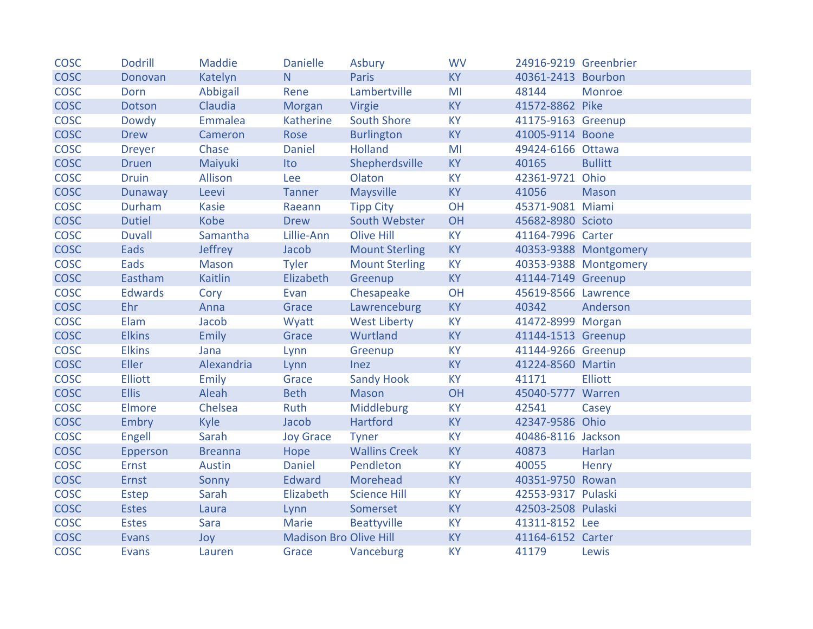| <b>COSC</b> | <b>Dodrill</b> | Maddie         | <b>Danielle</b>               | Asbury                | <b>WV</b> | 24916-9219 Greenbrier |                       |
|-------------|----------------|----------------|-------------------------------|-----------------------|-----------|-----------------------|-----------------------|
| <b>COSC</b> | Donovan        | Katelyn        | N.                            | <b>Paris</b>          | <b>KY</b> | 40361-2413 Bourbon    |                       |
| <b>COSC</b> | Dorn           | Abbigail       | Rene                          | Lambertville          | MI        | 48144                 | Monroe                |
| <b>COSC</b> | <b>Dotson</b>  | Claudia        | Morgan                        | Virgie                | <b>KY</b> | 41572-8862 Pike       |                       |
| <b>COSC</b> | Dowdy          | Emmalea        | Katherine                     | <b>South Shore</b>    | <b>KY</b> | 41175-9163 Greenup    |                       |
| <b>COSC</b> | <b>Drew</b>    | Cameron        | Rose                          | <b>Burlington</b>     | <b>KY</b> | 41005-9114 Boone      |                       |
| <b>COSC</b> | <b>Dreyer</b>  | Chase          | <b>Daniel</b>                 | <b>Holland</b>        | MI        | 49424-6166 Ottawa     |                       |
| <b>COSC</b> | <b>Druen</b>   | Maiyuki        | Ito                           | Shepherdsville        | <b>KY</b> | 40165                 | <b>Bullitt</b>        |
| <b>COSC</b> | <b>Druin</b>   | Allison        | Lee                           | Olaton                | <b>KY</b> | 42361-9721 Ohio       |                       |
| <b>COSC</b> | <b>Dunaway</b> | Leevi          | <b>Tanner</b>                 | <b>Maysville</b>      | <b>KY</b> | 41056                 | Mason                 |
| <b>COSC</b> | Durham         | <b>Kasie</b>   | Raeann                        | <b>Tipp City</b>      | OH        | 45371-9081 Miami      |                       |
| <b>COSC</b> | <b>Dutiel</b>  | Kobe           | <b>Drew</b>                   | South Webster         | OH        | 45682-8980 Scioto     |                       |
| <b>COSC</b> | <b>Duvall</b>  | Samantha       | Lillie-Ann                    | <b>Olive Hill</b>     | <b>KY</b> | 41164-7996 Carter     |                       |
| <b>COSC</b> | Eads           | Jeffrey        | Jacob                         | <b>Mount Sterling</b> | <b>KY</b> |                       | 40353-9388 Montgomery |
| <b>COSC</b> | Eads           | Mason          | <b>Tyler</b>                  | <b>Mount Sterling</b> | <b>KY</b> |                       | 40353-9388 Montgomery |
| <b>COSC</b> | Eastham        | <b>Kaitlin</b> | Elizabeth                     | Greenup               | <b>KY</b> | 41144-7149 Greenup    |                       |
| <b>COSC</b> | <b>Edwards</b> | Cory           | Evan                          | Chesapeake            | OH        | 45619-8566 Lawrence   |                       |
| <b>COSC</b> | Ehr            | Anna           | Grace                         | Lawrenceburg          | <b>KY</b> | 40342                 | Anderson              |
| <b>COSC</b> | Elam           | Jacob          | Wyatt                         | <b>West Liberty</b>   | <b>KY</b> | 41472-8999 Morgan     |                       |
| <b>COSC</b> | <b>Elkins</b>  | <b>Emily</b>   | Grace                         | Wurtland              | <b>KY</b> | 41144-1513 Greenup    |                       |
| <b>COSC</b> | <b>Elkins</b>  | Jana           | Lynn                          | Greenup               | <b>KY</b> | 41144-9266 Greenup    |                       |
| <b>COSC</b> | <b>Eller</b>   | Alexandria     | Lynn                          | <b>Inez</b>           | <b>KY</b> | 41224-8560 Martin     |                       |
| <b>COSC</b> | <b>Elliott</b> | Emily          | Grace                         | <b>Sandy Hook</b>     | <b>KY</b> | 41171                 | <b>Elliott</b>        |
| <b>COSC</b> | <b>Ellis</b>   | Aleah          | <b>Beth</b>                   | <b>Mason</b>          | OH        | 45040-5777 Warren     |                       |
| <b>COSC</b> | <b>Elmore</b>  | Chelsea        | Ruth                          | Middleburg            | <b>KY</b> | 42541                 | Casey                 |
| <b>COSC</b> | <b>Embry</b>   | Kyle           | Jacob                         | Hartford              | <b>KY</b> | 42347-9586 Ohio       |                       |
| <b>COSC</b> | Engell         | Sarah          | <b>Joy Grace</b>              | <b>Tyner</b>          | <b>KY</b> | 40486-8116 Jackson    |                       |
| <b>COSC</b> | Epperson       | <b>Breanna</b> | Hope                          | <b>Wallins Creek</b>  | <b>KY</b> | 40873                 | Harlan                |
| <b>COSC</b> | Ernst          | Austin         | Daniel                        | Pendleton             | <b>KY</b> | 40055                 | Henry                 |
| <b>COSC</b> | <b>Ernst</b>   | Sonny          | Edward                        | Morehead              | <b>KY</b> | 40351-9750 Rowan      |                       |
| <b>COSC</b> | Estep          | Sarah          | Elizabeth                     | <b>Science Hill</b>   | <b>KY</b> | 42553-9317 Pulaski    |                       |
| <b>COSC</b> | <b>Estes</b>   | Laura          | Lynn                          | Somerset              | <b>KY</b> | 42503-2508 Pulaski    |                       |
| <b>COSC</b> | <b>Estes</b>   | Sara           | Marie                         | Beattyville           | <b>KY</b> | 41311-8152 Lee        |                       |
| <b>COSC</b> | Evans          | Joy            | <b>Madison Bro Olive Hill</b> |                       | <b>KY</b> | 41164-6152 Carter     |                       |
| <b>COSC</b> | <b>Evans</b>   | Lauren         | Grace                         | Vanceburg             | <b>KY</b> | 41179                 | Lewis                 |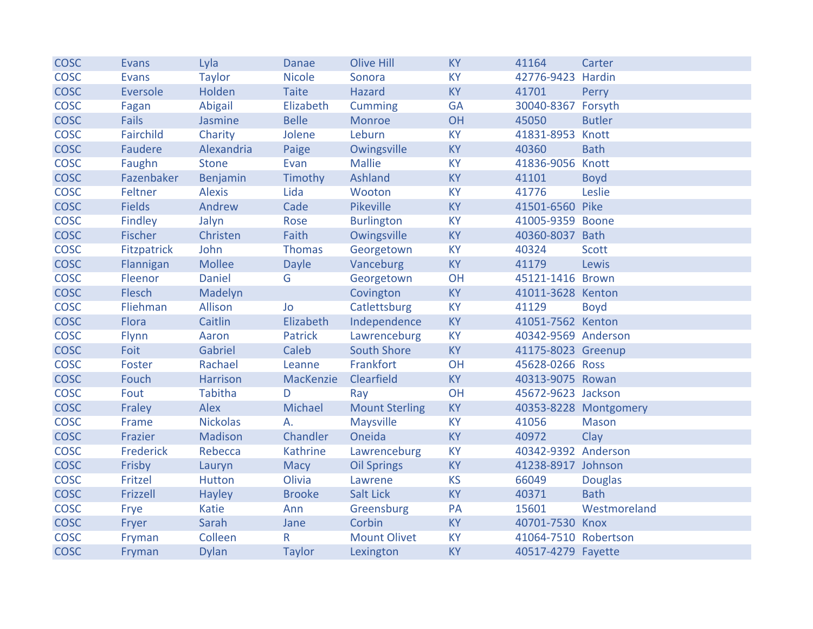| <b>COSC</b> | Evans         | Lyla            | Danae         | <b>Olive Hill</b>     | <b>KY</b> | 41164                | Carter                |
|-------------|---------------|-----------------|---------------|-----------------------|-----------|----------------------|-----------------------|
| <b>COSC</b> | <b>Evans</b>  | <b>Taylor</b>   | <b>Nicole</b> | Sonora                | <b>KY</b> | 42776-9423 Hardin    |                       |
| <b>COSC</b> | Eversole      | Holden          | <b>Taite</b>  | <b>Hazard</b>         | <b>KY</b> | 41701                | Perry                 |
| <b>COSC</b> | Fagan         | Abigail         | Elizabeth     | <b>Cumming</b>        | <b>GA</b> | 30040-8367 Forsyth   |                       |
| <b>COSC</b> | <b>Fails</b>  | Jasmine         | <b>Belle</b>  | Monroe                | OH        | 45050                | <b>Butler</b>         |
| <b>COSC</b> | Fairchild     | Charity         | Jolene        | Leburn                | <b>KY</b> | 41831-8953 Knott     |                       |
| <b>COSC</b> | Faudere       | Alexandria      | Paige         | Owingsville           | <b>KY</b> | 40360                | <b>Bath</b>           |
| <b>COSC</b> | Faughn        | <b>Stone</b>    | Evan          | <b>Mallie</b>         | <b>KY</b> | 41836-9056 Knott     |                       |
| <b>COSC</b> | Fazenbaker    | Benjamin        | Timothy       | Ashland               | <b>KY</b> | 41101                | <b>Boyd</b>           |
| <b>COSC</b> | Feltner       | <b>Alexis</b>   | Lida          | Wooton                | <b>KY</b> | 41776                | Leslie                |
| <b>COSC</b> | <b>Fields</b> | Andrew          | Cade          | <b>Pikeville</b>      | <b>KY</b> | 41501-6560 Pike      |                       |
| <b>COSC</b> | Findley       | Jalyn           | Rose          | <b>Burlington</b>     | <b>KY</b> | 41005-9359 Boone     |                       |
| <b>COSC</b> | Fischer       | Christen        | Faith         | Owingsville           | <b>KY</b> | 40360-8037 Bath      |                       |
| <b>COSC</b> | Fitzpatrick   | John            | Thomas        | Georgetown            | <b>KY</b> | 40324                | <b>Scott</b>          |
| <b>COSC</b> | Flannigan     | <b>Mollee</b>   | <b>Dayle</b>  | Vanceburg             | <b>KY</b> | 41179                | Lewis                 |
| <b>COSC</b> | Fleenor       | <b>Daniel</b>   | G             | Georgetown            | OH        | 45121-1416 Brown     |                       |
| <b>COSC</b> | Flesch        | Madelyn         |               | Covington             | <b>KY</b> | 41011-3628 Kenton    |                       |
| <b>COSC</b> | Fliehman      | Allison         | Jo            | Catlettsburg          | <b>KY</b> | 41129                | <b>Boyd</b>           |
| <b>COSC</b> | Flora         | Caitlin         | Elizabeth     | Independence          | <b>KY</b> | 41051-7562 Kenton    |                       |
| <b>COSC</b> | <b>Flynn</b>  | Aaron           | Patrick       | Lawrenceburg          | <b>KY</b> | 40342-9569 Anderson  |                       |
| <b>COSC</b> | Foit          | Gabriel         | Caleb         | <b>South Shore</b>    | <b>KY</b> | 41175-8023 Greenup   |                       |
| <b>COSC</b> | Foster        | Rachael         | Leanne        | Frankfort             | OH        | 45628-0266 Ross      |                       |
| <b>COSC</b> | Fouch         | Harrison        | MacKenzie     | Clearfield            | <b>KY</b> | 40313-9075 Rowan     |                       |
| <b>COSC</b> | Fout          | Tabitha         | D             | Ray                   | OH        | 45672-9623 Jackson   |                       |
| <b>COSC</b> | Fraley        | Alex            | Michael       | <b>Mount Sterling</b> | <b>KY</b> |                      | 40353-8228 Montgomery |
| <b>COSC</b> | Frame         | <b>Nickolas</b> | A.            | Maysville             | <b>KY</b> | 41056                | <b>Mason</b>          |
| <b>COSC</b> | Frazier       | Madison         | Chandler      | Oneida                | <b>KY</b> | 40972                | Clay                  |
| <b>COSC</b> | Frederick     | Rebecca         | Kathrine      | Lawrenceburg          | <b>KY</b> | 40342-9392 Anderson  |                       |
| <b>COSC</b> | Frisby        | Lauryn          | <b>Macy</b>   | <b>Oil Springs</b>    | <b>KY</b> | 41238-8917 Johnson   |                       |
| <b>COSC</b> | Fritzel       | <b>Hutton</b>   | Olivia        | Lawrene               | <b>KS</b> | 66049                | <b>Douglas</b>        |
| <b>COSC</b> | Frizzell      | Hayley          | <b>Brooke</b> | Salt Lick             | <b>KY</b> | 40371                | <b>Bath</b>           |
| <b>COSC</b> | Frye          | Katie           | Ann           | Greensburg            | PA        | 15601                | Westmoreland          |
| <b>COSC</b> | Fryer         | Sarah           | Jane          | Corbin                | <b>KY</b> | 40701-7530 Knox      |                       |
| <b>COSC</b> | Fryman        | Colleen         | R             | <b>Mount Olivet</b>   | <b>KY</b> | 41064-7510 Robertson |                       |
| <b>COSC</b> | Fryman        | <b>Dylan</b>    | <b>Taylor</b> | Lexington             | <b>KY</b> | 40517-4279 Fayette   |                       |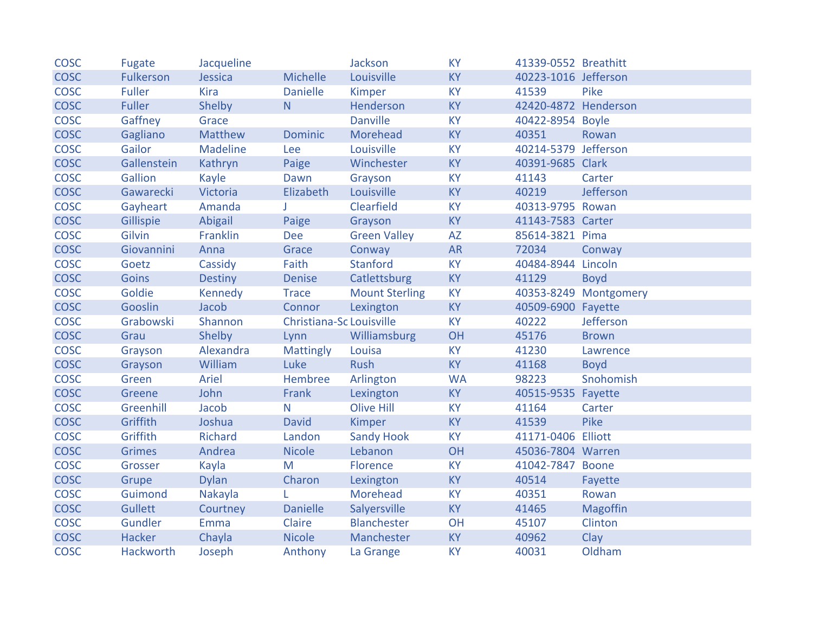| <b>COSC</b> | Fugate           | Jacqueline     |                          | Jackson               | <b>KY</b> | 41339-0552 Breathitt |                       |
|-------------|------------------|----------------|--------------------------|-----------------------|-----------|----------------------|-----------------------|
| <b>COSC</b> | <b>Fulkerson</b> | Jessica        | Michelle                 | Louisville            | <b>KY</b> | 40223-1016 Jefferson |                       |
| <b>COSC</b> | <b>Fuller</b>    | Kira           | <b>Danielle</b>          | Kimper                | <b>KY</b> | 41539                | Pike                  |
| <b>COSC</b> | <b>Fuller</b>    | Shelby         | N.                       | Henderson             | <b>KY</b> | 42420-4872 Henderson |                       |
| <b>COSC</b> | Gaffney          | Grace          |                          | <b>Danville</b>       | <b>KY</b> | 40422-8954 Boyle     |                       |
| <b>COSC</b> | Gagliano         | Matthew        | <b>Dominic</b>           | Morehead              | <b>KY</b> | 40351                | Rowan                 |
| <b>COSC</b> | Gailor           | Madeline       | Lee                      | Louisville            | <b>KY</b> | 40214-5379 Jefferson |                       |
| <b>COSC</b> | Gallenstein      | Kathryn        | Paige                    | Winchester            | <b>KY</b> | 40391-9685 Clark     |                       |
| <b>COSC</b> | Gallion          | Kayle          | Dawn                     | Grayson               | <b>KY</b> | 41143                | Carter                |
| <b>COSC</b> | Gawarecki        | Victoria       | Elizabeth                | Louisville            | <b>KY</b> | 40219                | Jefferson             |
| <b>COSC</b> | Gayheart         | Amanda         |                          | Clearfield            | <b>KY</b> | 40313-9795 Rowan     |                       |
| <b>COSC</b> | Gillispie        | Abigail        | Paige                    | Grayson               | <b>KY</b> | 41143-7583 Carter    |                       |
| <b>COSC</b> | Gilvin           | Franklin       | <b>Dee</b>               | <b>Green Valley</b>   | <b>AZ</b> | 85614-3821 Pima      |                       |
| <b>COSC</b> | Giovannini       | Anna           | Grace                    | Conway                | <b>AR</b> | 72034                | Conway                |
| <b>COSC</b> | Goetz            | Cassidy        | Faith                    | <b>Stanford</b>       | <b>KY</b> | 40484-8944 Lincoln   |                       |
| <b>COSC</b> | <b>Goins</b>     | <b>Destiny</b> | <b>Denise</b>            | Catlettsburg          | <b>KY</b> | 41129                | <b>Boyd</b>           |
| <b>COSC</b> | Goldie           | <b>Kennedy</b> | <b>Trace</b>             | <b>Mount Sterling</b> | <b>KY</b> |                      | 40353-8249 Montgomery |
| <b>COSC</b> | Gooslin          | Jacob          | Connor                   | Lexington             | <b>KY</b> | 40509-6900 Fayette   |                       |
| <b>COSC</b> | Grabowski        | Shannon        | Christiana-Sc Louisville |                       | <b>KY</b> | 40222                | Jefferson             |
| <b>COSC</b> | Grau             | Shelby         | Lynn                     | Williamsburg          | OH        | 45176                | <b>Brown</b>          |
| <b>COSC</b> | Grayson          | Alexandra      | <b>Mattingly</b>         | Louisa                | <b>KY</b> | 41230                | Lawrence              |
| <b>COSC</b> | Grayson          | William        | Luke                     | Rush                  | <b>KY</b> | 41168                | <b>Boyd</b>           |
| <b>COSC</b> | Green            | Ariel          | Hembree                  | Arlington             | <b>WA</b> | 98223                | Snohomish             |
| <b>COSC</b> | Greene           | John           | Frank                    | Lexington             | <b>KY</b> | 40515-9535 Fayette   |                       |
| <b>COSC</b> | Greenhill        | Jacob          | N                        | <b>Olive Hill</b>     | <b>KY</b> | 41164                | Carter                |
| <b>COSC</b> | Griffith         | Joshua         | <b>David</b>             | Kimper                | <b>KY</b> | 41539                | Pike                  |
| <b>COSC</b> | Griffith         | Richard        | Landon                   | <b>Sandy Hook</b>     | <b>KY</b> | 41171-0406 Elliott   |                       |
| <b>COSC</b> | <b>Grimes</b>    | Andrea         | <b>Nicole</b>            | Lebanon               | OH        | 45036-7804 Warren    |                       |
| <b>COSC</b> | Grosser          | Kayla          | M                        | Florence              | <b>KY</b> | 41042-7847 Boone     |                       |
| <b>COSC</b> | Grupe            | <b>Dylan</b>   | Charon                   | Lexington             | <b>KY</b> | 40514                | Fayette               |
| <b>COSC</b> | Guimond          | Nakayla        |                          | Morehead              | <b>KY</b> | 40351                | Rowan                 |
| <b>COSC</b> | <b>Gullett</b>   | Courtney       | <b>Danielle</b>          | Salyersville          | <b>KY</b> | 41465                | <b>Magoffin</b>       |
| <b>COSC</b> | Gundler          | Emma           | Claire                   | Blanchester           | OH        | 45107                | Clinton               |
| <b>COSC</b> | <b>Hacker</b>    | Chayla         | <b>Nicole</b>            | Manchester            | <b>KY</b> | 40962                | Clay                  |
| <b>COSC</b> | <b>Hackworth</b> | Joseph         | Anthony                  | La Grange             | <b>KY</b> | 40031                | Oldham                |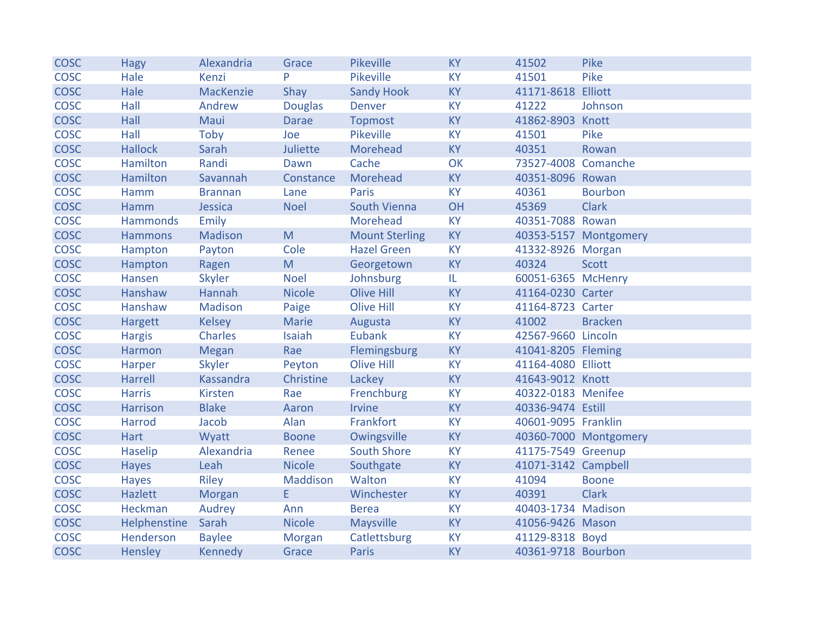| <b>COSC</b> | <b>Hagy</b>     | Alexandria     | Grace          | Pikeville             | <b>KY</b> | 41502               | Pike                  |
|-------------|-----------------|----------------|----------------|-----------------------|-----------|---------------------|-----------------------|
| <b>COSC</b> | Hale            | Kenzi          | P              | Pikeville             | <b>KY</b> | 41501               | Pike                  |
| <b>COSC</b> | Hale            | MacKenzie      | Shay           | <b>Sandy Hook</b>     | <b>KY</b> | 41171-8618 Elliott  |                       |
| <b>COSC</b> | Hall            | Andrew         | <b>Douglas</b> | Denver                | <b>KY</b> | 41222               | Johnson               |
| <b>COSC</b> | Hall            | Maui           | <b>Darae</b>   | <b>Topmost</b>        | <b>KY</b> | 41862-8903 Knott    |                       |
| <b>COSC</b> | Hall            | Toby           | Joe            | Pikeville             | <b>KY</b> | 41501               | Pike                  |
| <b>COSC</b> | <b>Hallock</b>  | Sarah          | Juliette       | Morehead              | <b>KY</b> | 40351               | Rowan                 |
| <b>COSC</b> | Hamilton        | Randi          | Dawn           | Cache                 | OK        | 73527-4008 Comanche |                       |
| <b>COSC</b> | Hamilton        | Savannah       | Constance      | Morehead              | <b>KY</b> | 40351-8096 Rowan    |                       |
| <b>COSC</b> | Hamm            | <b>Brannan</b> | Lane           | Paris                 | <b>KY</b> | 40361               | <b>Bourbon</b>        |
| <b>COSC</b> | Hamm            | Jessica        | <b>Noel</b>    | South Vienna          | OH        | 45369               | <b>Clark</b>          |
| <b>COSC</b> | <b>Hammonds</b> | Emily          |                | Morehead              | <b>KY</b> | 40351-7088 Rowan    |                       |
| <b>COSC</b> | <b>Hammons</b>  | Madison        | M              | <b>Mount Sterling</b> | <b>KY</b> |                     | 40353-5157 Montgomery |
| <b>COSC</b> | Hampton         | Payton         | Cole           | <b>Hazel Green</b>    | <b>KY</b> | 41332-8926 Morgan   |                       |
| <b>COSC</b> | Hampton         | Ragen          | M              | Georgetown            | <b>KY</b> | 40324               | <b>Scott</b>          |
| <b>COSC</b> | Hansen          | Skyler         | <b>Noel</b>    | Johnsburg             | IL.       | 60051-6365 McHenry  |                       |
| <b>COSC</b> | Hanshaw         | Hannah         | <b>Nicole</b>  | Olive Hill            | <b>KY</b> | 41164-0230 Carter   |                       |
| <b>COSC</b> | Hanshaw         | Madison        | Paige          | Olive Hill            | <b>KY</b> | 41164-8723 Carter   |                       |
| <b>COSC</b> | Hargett         | <b>Kelsey</b>  | Marie          | Augusta               | <b>KY</b> | 41002               | <b>Bracken</b>        |
| <b>COSC</b> | <b>Hargis</b>   | <b>Charles</b> | Isaiah         | Eubank                | <b>KY</b> | 42567-9660 Lincoln  |                       |
| <b>COSC</b> | Harmon          | Megan          | Rae            | Flemingsburg          | KY        | 41041-8205 Fleming  |                       |
| <b>COSC</b> | Harper          | <b>Skyler</b>  | Peyton         | <b>Olive Hill</b>     | <b>KY</b> | 41164-4080 Elliott  |                       |
| <b>COSC</b> | Harrell         | Kassandra      | Christine      | Lackey                | <b>KY</b> | 41643-9012 Knott    |                       |
| <b>COSC</b> | <b>Harris</b>   | <b>Kirsten</b> | Rae            | Frenchburg            | <b>KY</b> | 40322-0183 Menifee  |                       |
| <b>COSC</b> | <b>Harrison</b> | <b>Blake</b>   | Aaron          | Irvine                | <b>KY</b> | 40336-9474 Estill   |                       |
| <b>COSC</b> | Harrod          | Jacob          | Alan           | Frankfort             | <b>KY</b> | 40601-9095 Franklin |                       |
| <b>COSC</b> | <b>Hart</b>     | Wyatt          | <b>Boone</b>   | Owingsville           | <b>KY</b> |                     | 40360-7000 Montgomery |
| <b>COSC</b> | Haselip         | Alexandria     | Renee          | <b>South Shore</b>    | <b>KY</b> | 41175-7549 Greenup  |                       |
| <b>COSC</b> | <b>Hayes</b>    | Leah           | <b>Nicole</b>  | Southgate             | <b>KY</b> | 41071-3142 Campbell |                       |
| <b>COSC</b> | <b>Hayes</b>    | Riley          | Maddison       | Walton                | <b>KY</b> | 41094               | <b>Boone</b>          |
| <b>COSC</b> | Hazlett         | Morgan         | E              | Winchester            | <b>KY</b> | 40391               | <b>Clark</b>          |
| <b>COSC</b> | Heckman         | Audrey         | Ann            | <b>Berea</b>          | <b>KY</b> | 40403-1734 Madison  |                       |
| <b>COSC</b> | Helphenstine    | Sarah          | <b>Nicole</b>  | Maysville             | <b>KY</b> | 41056-9426 Mason    |                       |
| <b>COSC</b> | Henderson       | <b>Baylee</b>  | Morgan         | Catlettsburg          | <b>KY</b> | 41129-8318 Boyd     |                       |
| <b>COSC</b> | Hensley         | Kennedy        | Grace          | Paris                 | <b>KY</b> | 40361-9718 Bourbon  |                       |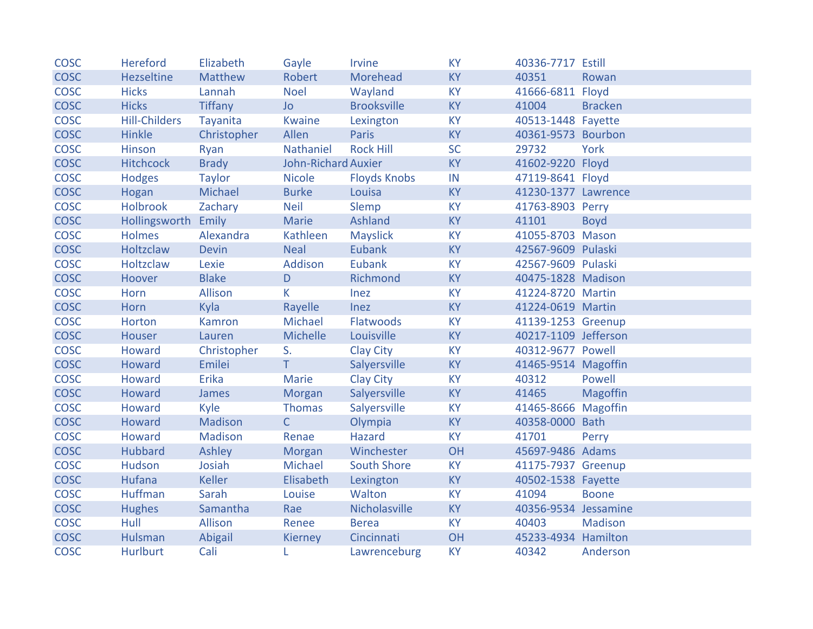| <b>COSC</b> | Hereford             | Elizabeth      | Gayle                      | Irvine              | <b>KY</b> | 40336-7717 Estill    |                 |
|-------------|----------------------|----------------|----------------------------|---------------------|-----------|----------------------|-----------------|
| <b>COSC</b> | Hezseltine           | Matthew        | Robert                     | Morehead            | <b>KY</b> | 40351                | Rowan           |
| <b>COSC</b> | <b>Hicks</b>         | Lannah         | <b>Noel</b>                | Wayland             | <b>KY</b> | 41666-6811 Floyd     |                 |
| <b>COSC</b> | <b>Hicks</b>         | <b>Tiffany</b> | <b>Jo</b>                  | <b>Brooksville</b>  | <b>KY</b> | 41004                | <b>Bracken</b>  |
| <b>COSC</b> | <b>Hill-Childers</b> | Tayanita       | <b>Kwaine</b>              | Lexington           | <b>KY</b> | 40513-1448 Fayette   |                 |
| <b>COSC</b> | Hinkle               | Christopher    | Allen                      | Paris               | <b>KY</b> | 40361-9573 Bourbon   |                 |
| <b>COSC</b> | Hinson               | Ryan           | Nathaniel                  | <b>Rock Hill</b>    | <b>SC</b> | 29732                | York            |
| <b>COSC</b> | <b>Hitchcock</b>     | <b>Brady</b>   | <b>John-Richard Auxier</b> |                     | <b>KY</b> | 41602-9220 Floyd     |                 |
| <b>COSC</b> | <b>Hodges</b>        | <b>Taylor</b>  | <b>Nicole</b>              | <b>Floyds Knobs</b> | IN        | 47119-8641 Floyd     |                 |
| <b>COSC</b> | Hogan                | Michael        | <b>Burke</b>               | Louisa              | <b>KY</b> | 41230-1377 Lawrence  |                 |
| <b>COSC</b> | Holbrook             | Zachary        | <b>Neil</b>                | Slemp               | <b>KY</b> | 41763-8903 Perry     |                 |
| <b>COSC</b> | Hollingsworth Emily  |                | Marie                      | Ashland             | <b>KY</b> | 41101                | <b>Boyd</b>     |
| <b>COSC</b> | <b>Holmes</b>        | Alexandra      | Kathleen                   | <b>Mayslick</b>     | <b>KY</b> | 41055-8703 Mason     |                 |
| <b>COSC</b> | Holtzclaw            | <b>Devin</b>   | <b>Neal</b>                | Eubank              | <b>KY</b> | 42567-9609 Pulaski   |                 |
| <b>COSC</b> | Holtzclaw            | Lexie          | Addison                    | Eubank              | <b>KY</b> | 42567-9609 Pulaski   |                 |
| <b>COSC</b> | Hoover               | <b>Blake</b>   | D                          | Richmond            | <b>KY</b> | 40475-1828 Madison   |                 |
| <b>COSC</b> | Horn                 | Allison        | K                          | Inez                | <b>KY</b> | 41224-8720 Martin    |                 |
| <b>COSC</b> | Horn                 | Kyla           | Rayelle                    | Inez                | <b>KY</b> | 41224-0619 Martin    |                 |
| <b>COSC</b> | Horton               | Kamron         | Michael                    | Flatwoods           | <b>KY</b> | 41139-1253 Greenup   |                 |
| <b>COSC</b> | Houser               | Lauren         | Michelle                   | Louisville          | <b>KY</b> | 40217-1109 Jefferson |                 |
| <b>COSC</b> | Howard               | Christopher    | S.                         | <b>Clay City</b>    | <b>KY</b> | 40312-9677 Powell    |                 |
| <b>COSC</b> | Howard               | Emilei         | $\mathsf T$                | Salyersville        | <b>KY</b> | 41465-9514 Magoffin  |                 |
| <b>COSC</b> | Howard               | Erika          | Marie                      | <b>Clay City</b>    | <b>KY</b> | 40312                | Powell          |
| <b>COSC</b> | Howard               | James          | Morgan                     | Salyersville        | <b>KY</b> | 41465                | <b>Magoffin</b> |
| <b>COSC</b> | Howard               | Kyle           | Thomas                     | Salyersville        | <b>KY</b> | 41465-8666 Magoffin  |                 |
| <b>COSC</b> | Howard               | Madison        | $\mathsf{C}$               | Olympia             | <b>KY</b> | 40358-0000 Bath      |                 |
| <b>COSC</b> | Howard               | Madison        | Renae                      | Hazard              | <b>KY</b> | 41701                | Perry           |
| <b>COSC</b> | Hubbard              | Ashley         | Morgan                     | Winchester          | OH        | 45697-9486 Adams     |                 |
| <b>COSC</b> | Hudson               | Josiah         | Michael                    | <b>South Shore</b>  | <b>KY</b> | 41175-7937 Greenup   |                 |
| <b>COSC</b> | Hufana               | <b>Keller</b>  | Elisabeth                  | Lexington           | <b>KY</b> | 40502-1538 Fayette   |                 |
| <b>COSC</b> | <b>Huffman</b>       | Sarah          | Louise                     | Walton              | <b>KY</b> | 41094                | <b>Boone</b>    |
| <b>COSC</b> | <b>Hughes</b>        | Samantha       | Rae                        | Nicholasville       | <b>KY</b> | 40356-9534 Jessamine |                 |
| <b>COSC</b> | Hull                 | Allison        | Renee                      | <b>Berea</b>        | <b>KY</b> | 40403                | Madison         |
| <b>COSC</b> | Hulsman              | Abigail        | Kierney                    | Cincinnati          | OH        | 45233-4934 Hamilton  |                 |
| <b>COSC</b> | <b>Hurlburt</b>      | Cali           | L.                         | Lawrenceburg        | <b>KY</b> | 40342                | Anderson        |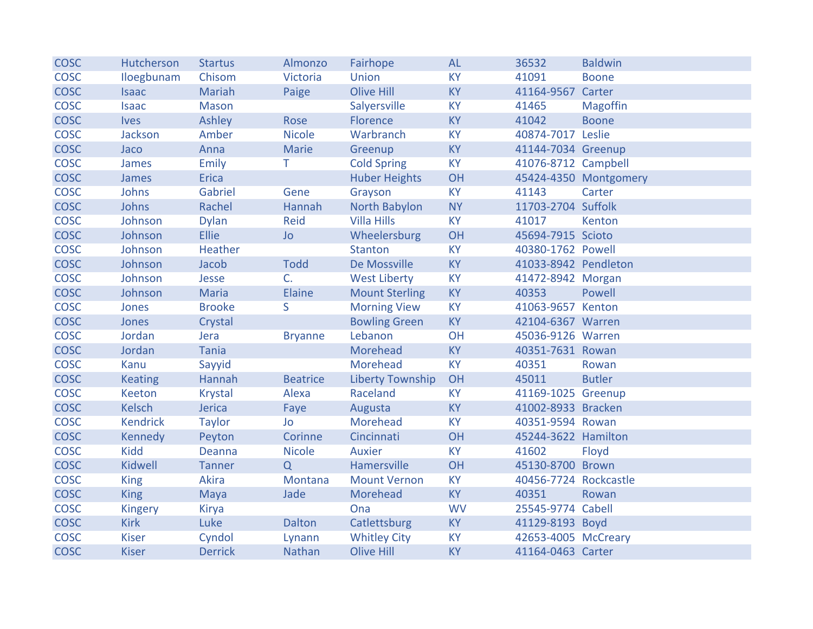| <b>COSC</b> | Hutcherson      | <b>Startus</b> | Almonzo         | Fairhope                | <b>AL</b> | 36532                 | <b>Baldwin</b>        |
|-------------|-----------------|----------------|-----------------|-------------------------|-----------|-----------------------|-----------------------|
| <b>COSC</b> | Iloegbunam      | Chisom         | Victoria        | Union                   | <b>KY</b> | 41091                 | <b>Boone</b>          |
| <b>COSC</b> | <b>Isaac</b>    | Mariah         | Paige           | <b>Olive Hill</b>       | <b>KY</b> | 41164-9567            | Carter                |
| <b>COSC</b> | <b>Isaac</b>    | <b>Mason</b>   |                 | Salyersville            | <b>KY</b> | 41465                 | <b>Magoffin</b>       |
| <b>COSC</b> | <b>Ives</b>     | Ashley         | Rose            | Florence                | <b>KY</b> | 41042                 | <b>Boone</b>          |
| <b>COSC</b> | Jackson         | Amber          | <b>Nicole</b>   | Warbranch               | <b>KY</b> | 40874-7017 Leslie     |                       |
| <b>COSC</b> | Jaco            | Anna           | Marie           | Greenup                 | <b>KY</b> | 41144-7034 Greenup    |                       |
| <b>COSC</b> | James           | Emily          | T.              | <b>Cold Spring</b>      | <b>KY</b> | 41076-8712 Campbell   |                       |
| <b>COSC</b> | James           | Erica          |                 | <b>Huber Heights</b>    | OH        |                       | 45424-4350 Montgomery |
| <b>COSC</b> | Johns           | Gabriel        | Gene            | Grayson                 | <b>KY</b> | 41143                 | Carter                |
| <b>COSC</b> | Johns           | Rachel         | Hannah          | North Babylon           | <b>NY</b> | 11703-2704 Suffolk    |                       |
| <b>COSC</b> | Johnson         | <b>Dylan</b>   | <b>Reid</b>     | <b>Villa Hills</b>      | <b>KY</b> | 41017                 | Kenton                |
| <b>COSC</b> | Johnson         | Ellie          | <b>Jo</b>       | Wheelersburg            | OH        | 45694-7915 Scioto     |                       |
| <b>COSC</b> | Johnson         | Heather        |                 | <b>Stanton</b>          | <b>KY</b> | 40380-1762 Powell     |                       |
| <b>COSC</b> | Johnson         | Jacob          | <b>Todd</b>     | De Mossville            | <b>KY</b> | 41033-8942 Pendleton  |                       |
| <b>COSC</b> | Johnson         | Jesse          | $C_{\cdot}$     | <b>West Liberty</b>     | <b>KY</b> | 41472-8942 Morgan     |                       |
| <b>COSC</b> | Johnson         | <b>Maria</b>   | <b>Elaine</b>   | <b>Mount Sterling</b>   | <b>KY</b> | 40353                 | Powell                |
| <b>COSC</b> | Jones           | <b>Brooke</b>  | S.              | <b>Morning View</b>     | <b>KY</b> | 41063-9657 Kenton     |                       |
| <b>COSC</b> | <b>Jones</b>    | Crystal        |                 | <b>Bowling Green</b>    | <b>KY</b> | 42104-6367 Warren     |                       |
| <b>COSC</b> | Jordan          | Jera           | <b>Bryanne</b>  | Lebanon                 | OH        | 45036-9126 Warren     |                       |
| <b>COSC</b> | Jordan          | Tania          |                 | Morehead                | <b>KY</b> | 40351-7631 Rowan      |                       |
| <b>COSC</b> | Kanu            | Sayyid         |                 | Morehead                | <b>KY</b> | 40351                 | Rowan                 |
| <b>COSC</b> | <b>Keating</b>  | Hannah         | <b>Beatrice</b> | <b>Liberty Township</b> | OH        | 45011                 | <b>Butler</b>         |
| <b>COSC</b> | Keeton          | <b>Krystal</b> | Alexa           | Raceland                | <b>KY</b> | 41169-1025 Greenup    |                       |
| <b>COSC</b> | <b>Kelsch</b>   | Jerica         | Faye            | Augusta                 | <b>KY</b> | 41002-8933 Bracken    |                       |
| <b>COSC</b> | <b>Kendrick</b> | <b>Taylor</b>  | Jo              | Morehead                | <b>KY</b> | 40351-9594 Rowan      |                       |
| <b>COSC</b> | Kennedy         | Peyton         | Corinne         | Cincinnati              | OH        | 45244-3622 Hamilton   |                       |
| <b>COSC</b> | <b>Kidd</b>     | Deanna         | <b>Nicole</b>   | <b>Auxier</b>           | <b>KY</b> | 41602                 | Floyd                 |
| <b>COSC</b> | Kidwell         | <b>Tanner</b>  | Q               | Hamersville             | OH        | 45130-8700 Brown      |                       |
| <b>COSC</b> | <b>King</b>     | Akira          | Montana         | <b>Mount Vernon</b>     | <b>KY</b> | 40456-7724 Rockcastle |                       |
| <b>COSC</b> | <b>King</b>     | Maya           | Jade            | Morehead                | <b>KY</b> | 40351                 | Rowan                 |
| <b>COSC</b> | Kingery         | Kirya          |                 | Ona                     | <b>WV</b> | 25545-9774 Cabell     |                       |
| <b>COSC</b> | <b>Kirk</b>     | Luke           | <b>Dalton</b>   | Catlettsburg            | <b>KY</b> | 41129-8193 Boyd       |                       |
| <b>COSC</b> | <b>Kiser</b>    | Cyndol         | Lynann          | <b>Whitley City</b>     | <b>KY</b> | 42653-4005 McCreary   |                       |
| <b>COSC</b> | <b>Kiser</b>    | <b>Derrick</b> | Nathan          | <b>Olive Hill</b>       | <b>KY</b> | 41164-0463 Carter     |                       |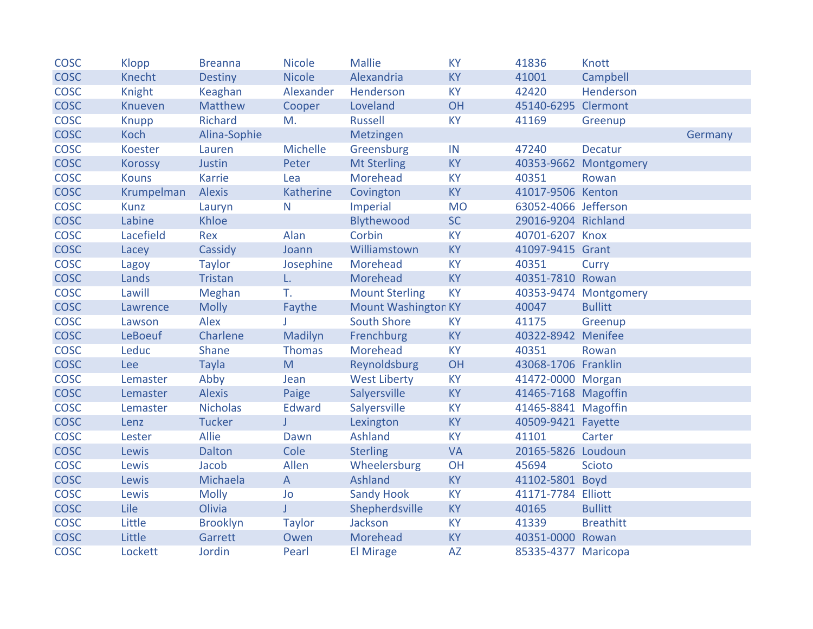| <b>COSC</b> | Klopp          | <b>Breanna</b>  | <b>Nicole</b> | <b>Mallie</b>              | <b>KY</b> | 41836                | Knott                 |         |
|-------------|----------------|-----------------|---------------|----------------------------|-----------|----------------------|-----------------------|---------|
| <b>COSC</b> | Knecht         | <b>Destiny</b>  | <b>Nicole</b> | Alexandria                 | <b>KY</b> | 41001                | Campbell              |         |
| <b>COSC</b> | Knight         | Keaghan         | Alexander     | Henderson                  | <b>KY</b> | 42420                | Henderson             |         |
| <b>COSC</b> | Knueven        | Matthew         | Cooper        | Loveland                   | OH        | 45140-6295 Clermont  |                       |         |
| <b>COSC</b> | Knupp          | Richard         | M.            | Russell                    | <b>KY</b> | 41169                | Greenup               |         |
| <b>COSC</b> | Koch           | Alina-Sophie    |               | Metzingen                  |           |                      |                       | Germany |
| <b>COSC</b> | Koester        | Lauren          | Michelle      | Greensburg                 | IN        | 47240                | Decatur               |         |
| <b>COSC</b> | <b>Korossy</b> | <b>Justin</b>   | Peter         | <b>Mt Sterling</b>         | <b>KY</b> |                      | 40353-9662 Montgomery |         |
| <b>COSC</b> | <b>Kouns</b>   | <b>Karrie</b>   | Lea           | Morehead                   | <b>KY</b> | 40351                | Rowan                 |         |
| <b>COSC</b> | Krumpelman     | <b>Alexis</b>   | Katherine     | Covington                  | <b>KY</b> | 41017-9506 Kenton    |                       |         |
| <b>COSC</b> | <b>Kunz</b>    | Lauryn          | $\mathsf{N}$  | Imperial                   | <b>MO</b> | 63052-4066 Jefferson |                       |         |
| <b>COSC</b> | Labine         | Khloe           |               | Blythewood                 | <b>SC</b> | 29016-9204 Richland  |                       |         |
| COSC        | Lacefield      | Rex             | Alan          | Corbin                     | <b>KY</b> | 40701-6207 Knox      |                       |         |
| <b>COSC</b> | Lacey          | Cassidy         | Joann         | Williamstown               | <b>KY</b> | 41097-9415 Grant     |                       |         |
| <b>COSC</b> | Lagoy          | <b>Taylor</b>   | Josephine     | Morehead                   | <b>KY</b> | 40351                | Curry                 |         |
| <b>COSC</b> | Lands          | <b>Tristan</b>  | L.            | Morehead                   | <b>KY</b> | 40351-7810 Rowan     |                       |         |
| <b>COSC</b> | Lawill         | Meghan          | T.            | <b>Mount Sterling</b>      | <b>KY</b> |                      | 40353-9474 Montgomery |         |
| <b>COSC</b> | Lawrence       | <b>Molly</b>    | Faythe        | <b>Mount Washington KY</b> |           | 40047                | <b>Bullitt</b>        |         |
| <b>COSC</b> | Lawson         | Alex            |               | <b>South Shore</b>         | <b>KY</b> | 41175                | Greenup               |         |
| <b>COSC</b> | <b>LeBoeuf</b> | Charlene        | Madilyn       | Frenchburg                 | <b>KY</b> | 40322-8942 Menifee   |                       |         |
| <b>COSC</b> | Leduc          | Shane           | <b>Thomas</b> | Morehead                   | <b>KY</b> | 40351                | Rowan                 |         |
| <b>COSC</b> | Lee            | <b>Tayla</b>    | M             | Reynoldsburg               | OH        | 43068-1706 Franklin  |                       |         |
| <b>COSC</b> | Lemaster       | Abby            | Jean          | <b>West Liberty</b>        | <b>KY</b> | 41472-0000 Morgan    |                       |         |
| <b>COSC</b> | Lemaster       | <b>Alexis</b>   | Paige         | Salyersville               | <b>KY</b> | 41465-7168 Magoffin  |                       |         |
| <b>COSC</b> | Lemaster       | <b>Nicholas</b> | Edward        | Salyersville               | <b>KY</b> | 41465-8841 Magoffin  |                       |         |
| <b>COSC</b> | Lenz           | <b>Tucker</b>   | T.            | Lexington                  | <b>KY</b> | 40509-9421 Fayette   |                       |         |
| <b>COSC</b> | Lester         | Allie           | Dawn          | Ashland                    | <b>KY</b> | 41101                | Carter                |         |
| <b>COSC</b> | Lewis          | <b>Dalton</b>   | Cole          | <b>Sterling</b>            | <b>VA</b> | 20165-5826 Loudoun   |                       |         |
| <b>COSC</b> | Lewis          | Jacob           | Allen         | Wheelersburg               | OH        | 45694                | <b>Scioto</b>         |         |
| <b>COSC</b> | <b>Lewis</b>   | Michaela        | $\mathsf{A}$  | Ashland                    | <b>KY</b> | 41102-5801 Boyd      |                       |         |
| <b>COSC</b> | Lewis          | <b>Molly</b>    | Jo            | <b>Sandy Hook</b>          | <b>KY</b> | 41171-7784 Elliott   |                       |         |
| <b>COSC</b> | Lile           | Olivia          | J.            | Shepherdsville             | <b>KY</b> | 40165                | <b>Bullitt</b>        |         |
| <b>COSC</b> | Little         | <b>Brooklyn</b> | <b>Taylor</b> | Jackson                    | <b>KY</b> | 41339                | <b>Breathitt</b>      |         |
| <b>COSC</b> | Little         | Garrett         | Owen          | Morehead                   | <b>KY</b> | 40351-0000 Rowan     |                       |         |
| <b>COSC</b> | Lockett        | Jordin          | Pearl         | <b>El Mirage</b>           | <b>AZ</b> | 85335-4377 Maricopa  |                       |         |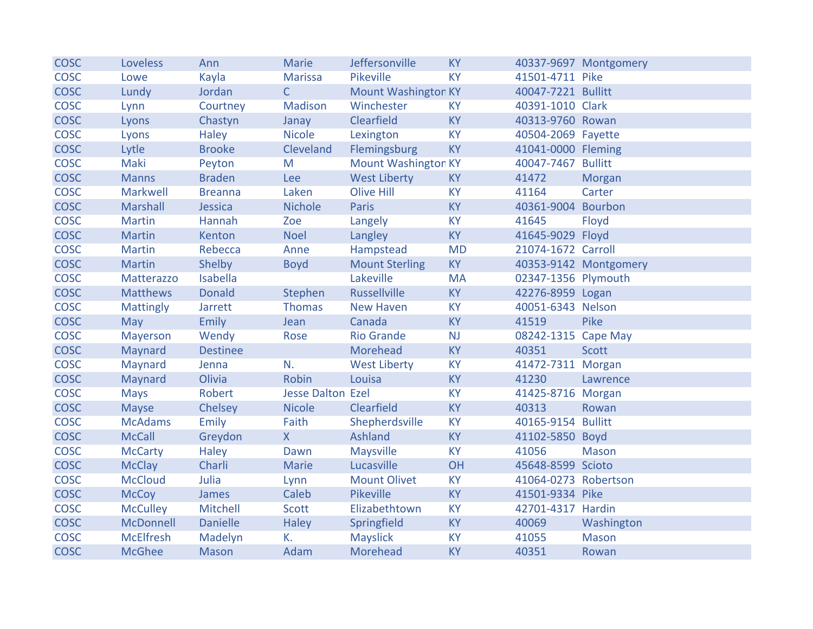| <b>COSC</b> | Loveless         | Ann             | <b>Marie</b>             | Jeffersonville             | <b>KY</b> |                      | 40337-9697 Montgomery |
|-------------|------------------|-----------------|--------------------------|----------------------------|-----------|----------------------|-----------------------|
| <b>COSC</b> | Lowe             | Kayla           | <b>Marissa</b>           | Pikeville                  | <b>KY</b> | 41501-4711 Pike      |                       |
| <b>COSC</b> | Lundy            | Jordan          | $\mathsf{C}$             | <b>Mount Washington KY</b> |           | 40047-7221 Bullitt   |                       |
| <b>COSC</b> | Lynn             | Courtney        | Madison                  | Winchester                 | <b>KY</b> | 40391-1010 Clark     |                       |
| <b>COSC</b> | Lyons            | Chastyn         | Janay                    | Clearfield                 | <b>KY</b> | 40313-9760 Rowan     |                       |
| <b>COSC</b> | Lyons            | <b>Haley</b>    | <b>Nicole</b>            | Lexington                  | <b>KY</b> | 40504-2069 Fayette   |                       |
| <b>COSC</b> | Lytle            | <b>Brooke</b>   | Cleveland                | Flemingsburg               | <b>KY</b> | 41041-0000 Fleming   |                       |
| <b>COSC</b> | Maki             | Peyton          | M                        | <b>Mount Washington KY</b> |           | 40047-7467 Bullitt   |                       |
| <b>COSC</b> | <b>Manns</b>     | <b>Braden</b>   | Lee                      | <b>West Liberty</b>        | <b>KY</b> | 41472                | Morgan                |
| <b>COSC</b> | Markwell         | <b>Breanna</b>  | Laken                    | <b>Olive Hill</b>          | <b>KY</b> | 41164                | Carter                |
| <b>COSC</b> | Marshall         | Jessica         | <b>Nichole</b>           | Paris                      | <b>KY</b> | 40361-9004 Bourbon   |                       |
| <b>COSC</b> | <b>Martin</b>    | Hannah          | Zoe                      | Langely                    | <b>KY</b> | 41645                | Floyd                 |
| <b>COSC</b> | <b>Martin</b>    | Kenton          | <b>Noel</b>              | Langley                    | <b>KY</b> | 41645-9029 Floyd     |                       |
| <b>COSC</b> | <b>Martin</b>    | Rebecca         | Anne                     | Hampstead                  | <b>MD</b> | 21074-1672 Carroll   |                       |
| <b>COSC</b> | <b>Martin</b>    | Shelby          | <b>Boyd</b>              | <b>Mount Sterling</b>      | <b>KY</b> |                      | 40353-9142 Montgomery |
| <b>COSC</b> | Matterazzo       | Isabella        |                          | Lakeville                  | <b>MA</b> | 02347-1356 Plymouth  |                       |
| <b>COSC</b> | <b>Matthews</b>  | <b>Donald</b>   | Stephen                  | <b>Russellville</b>        | <b>KY</b> | 42276-8959 Logan     |                       |
| <b>COSC</b> | <b>Mattingly</b> | Jarrett         | <b>Thomas</b>            | New Haven                  | <b>KY</b> | 40051-6343 Nelson    |                       |
| <b>COSC</b> | May              | Emily           | Jean                     | Canada                     | <b>KY</b> | 41519                | Pike                  |
| <b>COSC</b> | Mayerson         | Wendy           | Rose                     | <b>Rio Grande</b>          | NJ        | 08242-1315 Cape May  |                       |
| <b>COSC</b> | Maynard          | <b>Destinee</b> |                          | Morehead                   | <b>KY</b> | 40351                | <b>Scott</b>          |
| <b>COSC</b> | Maynard          | Jenna           | N.                       | <b>West Liberty</b>        | <b>KY</b> | 41472-7311 Morgan    |                       |
| <b>COSC</b> | Maynard          | Olivia          | Robin                    | Louisa                     | <b>KY</b> | 41230                | Lawrence              |
| <b>COSC</b> | <b>Mays</b>      | Robert          | <b>Jesse Dalton Ezel</b> |                            | <b>KY</b> | 41425-8716 Morgan    |                       |
| <b>COSC</b> | <b>Mayse</b>     | Chelsey         | <b>Nicole</b>            | Clearfield                 | <b>KY</b> | 40313                | Rowan                 |
| <b>COSC</b> | <b>McAdams</b>   | Emily           | Faith                    | Shepherdsville             | <b>KY</b> | 40165-9154 Bullitt   |                       |
| <b>COSC</b> | <b>McCall</b>    | Greydon         | X                        | Ashland                    | <b>KY</b> | 41102-5850 Boyd      |                       |
| <b>COSC</b> | <b>McCarty</b>   | <b>Haley</b>    | Dawn                     | Maysville                  | <b>KY</b> | 41056                | <b>Mason</b>          |
| <b>COSC</b> | <b>McClay</b>    | Charli          | Marie                    | Lucasville                 | OH        | 45648-8599 Scioto    |                       |
| <b>COSC</b> | <b>McCloud</b>   | Julia           | Lynn                     | <b>Mount Olivet</b>        | <b>KY</b> | 41064-0273 Robertson |                       |
| <b>COSC</b> | <b>McCoy</b>     | James           | Caleb                    | Pikeville                  | <b>KY</b> | 41501-9334 Pike      |                       |
| <b>COSC</b> | <b>McCulley</b>  | Mitchell        | Scott                    | Elizabethtown              | <b>KY</b> | 42701-4317 Hardin    |                       |
| <b>COSC</b> | McDonnell        | <b>Danielle</b> | <b>Haley</b>             | Springfield                | <b>KY</b> | 40069                | Washington            |
| <b>COSC</b> | <b>McElfresh</b> | Madelyn         | K.                       | <b>Mayslick</b>            | <b>KY</b> | 41055                | <b>Mason</b>          |
| <b>COSC</b> | <b>McGhee</b>    | Mason           | Adam                     | Morehead                   | <b>KY</b> | 40351                | Rowan                 |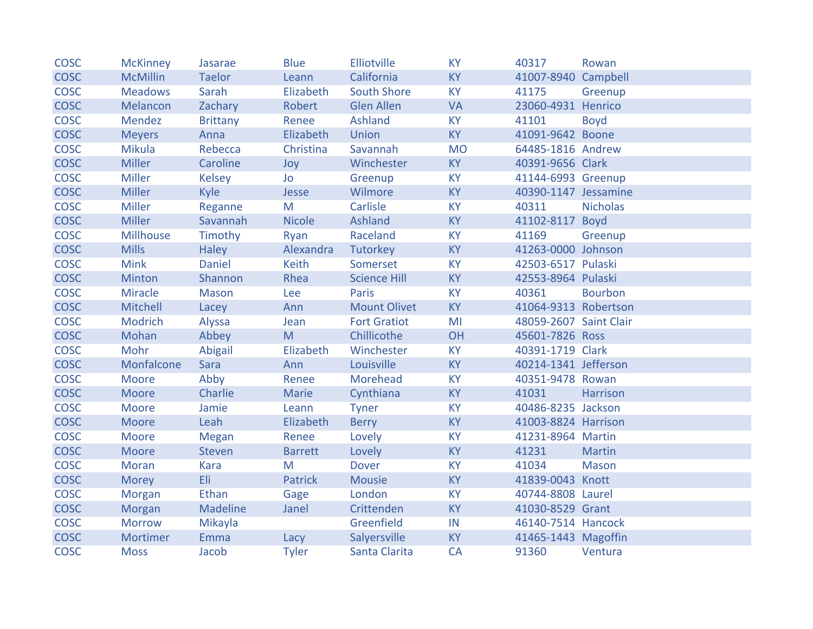| <b>COSC</b> | <b>McKinney</b>  | Jasarae         | <b>Blue</b>    | Elliotville         | <b>KY</b> | 40317                  | Rowan           |
|-------------|------------------|-----------------|----------------|---------------------|-----------|------------------------|-----------------|
| <b>COSC</b> | <b>McMillin</b>  | <b>Taelor</b>   | Leann          | California          | <b>KY</b> | 41007-8940 Campbell    |                 |
| <b>COSC</b> | <b>Meadows</b>   | Sarah           | Elizabeth      | South Shore         | <b>KY</b> | 41175                  | Greenup         |
| <b>COSC</b> | Melancon         | Zachary         | Robert         | Glen Allen          | <b>VA</b> | 23060-4931 Henrico     |                 |
| <b>COSC</b> | Mendez           | <b>Brittany</b> | Renee          | Ashland             | <b>KY</b> | 41101                  | <b>Boyd</b>     |
| <b>COSC</b> | <b>Meyers</b>    | Anna            | Elizabeth      | Union               | <b>KY</b> | 41091-9642 Boone       |                 |
| <b>COSC</b> | <b>Mikula</b>    | Rebecca         | Christina      | Savannah            | <b>MO</b> | 64485-1816 Andrew      |                 |
| <b>COSC</b> | <b>Miller</b>    | Caroline        | Joy            | Winchester          | <b>KY</b> | 40391-9656 Clark       |                 |
| <b>COSC</b> | <b>Miller</b>    | Kelsey          | Jo             | Greenup             | <b>KY</b> | 41144-6993 Greenup     |                 |
| <b>COSC</b> | <b>Miller</b>    | Kyle            | Jesse          | Wilmore             | <b>KY</b> | 40390-1147 Jessamine   |                 |
| <b>COSC</b> | <b>Miller</b>    | Reganne         | M              | Carlisle            | <b>KY</b> | 40311                  | <b>Nicholas</b> |
| <b>COSC</b> | <b>Miller</b>    | Savannah        | <b>Nicole</b>  | Ashland             | <b>KY</b> | 41102-8117 Boyd        |                 |
| <b>COSC</b> | <b>Millhouse</b> | Timothy         | Ryan           | Raceland            | <b>KY</b> | 41169                  | Greenup         |
| <b>COSC</b> | <b>Mills</b>     | Haley           | Alexandra      | Tutorkey            | <b>KY</b> | 41263-0000 Johnson     |                 |
| <b>COSC</b> | <b>Mink</b>      | <b>Daniel</b>   | Keith          | Somerset            | <b>KY</b> | 42503-6517 Pulaski     |                 |
| <b>COSC</b> | Minton           | Shannon         | Rhea           | <b>Science Hill</b> | <b>KY</b> | 42553-8964 Pulaski     |                 |
| <b>COSC</b> | Miracle          | Mason           | Lee            | <b>Paris</b>        | <b>KY</b> | 40361                  | <b>Bourbon</b>  |
| <b>COSC</b> | Mitchell         | Lacey           | Ann            | <b>Mount Olivet</b> | <b>KY</b> | 41064-9313 Robertson   |                 |
| <b>COSC</b> | Modrich          | Alyssa          | Jean           | <b>Fort Gratiot</b> | MI        | 48059-2607 Saint Clair |                 |
| <b>COSC</b> | Mohan            | Abbey           | M              | Chillicothe         | OH        | 45601-7826 Ross        |                 |
| <b>COSC</b> | Mohr             | Abigail         | Elizabeth      | Winchester          | <b>KY</b> | 40391-1719 Clark       |                 |
| <b>COSC</b> | Monfalcone       | Sara            | Ann            | Louisville          | <b>KY</b> | 40214-1341 Jefferson   |                 |
| <b>COSC</b> | Moore            | Abby            | Renee          | Morehead            | <b>KY</b> | 40351-9478 Rowan       |                 |
| <b>COSC</b> | Moore            | Charlie         | Marie          | Cynthiana           | <b>KY</b> | 41031                  | <b>Harrison</b> |
| <b>COSC</b> | Moore            | Jamie           | Leann          | <b>Tyner</b>        | <b>KY</b> | 40486-8235 Jackson     |                 |
| <b>COSC</b> | <b>Moore</b>     | Leah            | Elizabeth      | <b>Berry</b>        | <b>KY</b> | 41003-8824 Harrison    |                 |
| <b>COSC</b> | Moore            | <b>Megan</b>    | Renee          | Lovely              | <b>KY</b> | 41231-8964 Martin      |                 |
| <b>COSC</b> | Moore            | Steven          | <b>Barrett</b> | Lovely              | <b>KY</b> | 41231                  | <b>Martin</b>   |
| <b>COSC</b> | Moran            | Kara            | M              | <b>Dover</b>        | <b>KY</b> | 41034                  | <b>Mason</b>    |
| <b>COSC</b> | Morey            | Eli:            | <b>Patrick</b> | <b>Mousie</b>       | <b>KY</b> | 41839-0043 Knott       |                 |
| <b>COSC</b> | Morgan           | Ethan           | Gage           | London              | <b>KY</b> | 40744-8808 Laurel      |                 |
| <b>COSC</b> | Morgan           | Madeline        | Janel          | Crittenden          | <b>KY</b> | 41030-8529 Grant       |                 |
| <b>COSC</b> | <b>Morrow</b>    | Mikayla         |                | Greenfield          | IN        | 46140-7514 Hancock     |                 |
| <b>COSC</b> | Mortimer         | Emma            | Lacy           | Salyersville        | <b>KY</b> | 41465-1443 Magoffin    |                 |
| <b>COSC</b> | <b>Moss</b>      | Jacob           | <b>Tyler</b>   | Santa Clarita       | <b>CA</b> | 91360                  | Ventura         |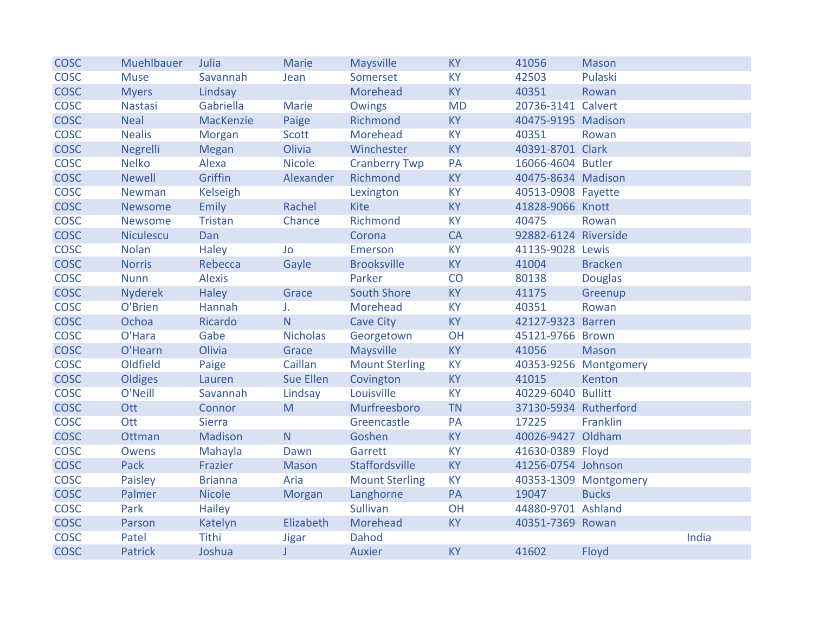| <b>COSC</b> | Muehlbauer       | Julia           | <b>Marie</b>    | Maysville             | <b>KY</b> | 41056                 | <b>Mason</b>          |       |
|-------------|------------------|-----------------|-----------------|-----------------------|-----------|-----------------------|-----------------------|-------|
| <b>COSC</b> | <b>Muse</b>      | Savannah        | Jean            | Somerset              | <b>KY</b> | 42503                 | Pulaski               |       |
| <b>COSC</b> | <b>Myers</b>     | Lindsay         |                 | Morehead              | <b>KY</b> | 40351                 | Rowan                 |       |
| <b>COSC</b> | <b>Nastasi</b>   | Gabriella       | Marie           | Owings                | <b>MD</b> | 20736-3141 Calvert    |                       |       |
| <b>COSC</b> | <b>Neal</b>      | MacKenzie       | Paige           | Richmond              | <b>KY</b> | 40475-9195 Madison    |                       |       |
| <b>COSC</b> | <b>Nealis</b>    | Morgan          | Scott           | Morehead              | <b>KY</b> | 40351                 | Rowan                 |       |
| <b>COSC</b> | Negrelli         | <b>Megan</b>    | Olivia          | Winchester            | <b>KY</b> | 40391-8701 Clark      |                       |       |
| <b>COSC</b> | <b>Nelko</b>     | Alexa           | <b>Nicole</b>   | <b>Cranberry Twp</b>  | PA        | 16066-4604 Butler     |                       |       |
| <b>COSC</b> | <b>Newell</b>    | Griffin         | Alexander       | Richmond              | <b>KY</b> | 40475-8634 Madison    |                       |       |
| <b>COSC</b> | Newman           | <b>Kelseigh</b> |                 | Lexington             | <b>KY</b> | 40513-0908 Fayette    |                       |       |
| <b>COSC</b> | <b>Newsome</b>   | Emily           | Rachel          | <b>Kite</b>           | <b>KY</b> | 41828-9066 Knott      |                       |       |
| <b>COSC</b> | <b>Newsome</b>   | Tristan         | Chance          | Richmond              | <b>KY</b> | 40475                 | Rowan                 |       |
| <b>COSC</b> | <b>Niculescu</b> | Dan             |                 | Corona                | CA        | 92882-6124 Riverside  |                       |       |
| <b>COSC</b> | <b>Nolan</b>     | <b>Haley</b>    | Jo              | Emerson               | <b>KY</b> | 41135-9028 Lewis      |                       |       |
| <b>COSC</b> | <b>Norris</b>    | Rebecca         | Gayle           | <b>Brooksville</b>    | <b>KY</b> | 41004                 | <b>Bracken</b>        |       |
| <b>COSC</b> | <b>Nunn</b>      | <b>Alexis</b>   |                 | Parker                | CO        | 80138                 | <b>Douglas</b>        |       |
| <b>COSC</b> | <b>Nyderek</b>   | <b>Haley</b>    | Grace           | South Shore           | <b>KY</b> | 41175                 | Greenup               |       |
| <b>COSC</b> | O'Brien          | Hannah          | J.              | Morehead              | <b>KY</b> | 40351                 | Rowan                 |       |
| <b>COSC</b> | Ochoa            | Ricardo         | N               | <b>Cave City</b>      | <b>KY</b> | 42127-9323 Barren     |                       |       |
| <b>COSC</b> | O'Hara           | Gabe            | <b>Nicholas</b> | Georgetown            | OH        | 45121-9766 Brown      |                       |       |
| <b>COSC</b> | O'Hearn          | Olivia          | Grace           | Maysville             | <b>KY</b> | 41056                 | Mason                 |       |
| <b>COSC</b> | Oldfield         | Paige           | Caillan         | <b>Mount Sterling</b> | <b>KY</b> |                       | 40353-9256 Montgomery |       |
| <b>COSC</b> | Oldiges          | Lauren          | Sue Ellen       | Covington             | <b>KY</b> | 41015                 | Kenton                |       |
| <b>COSC</b> | O'Neill          | Savannah        | Lindsay         | Louisville            | <b>KY</b> | 40229-6040 Bullitt    |                       |       |
| <b>COSC</b> | Ott              | Connor          | M               | Murfreesboro          | <b>TN</b> | 37130-5934 Rutherford |                       |       |
| <b>COSC</b> | Ott              | <b>Sierra</b>   |                 | Greencastle           | PA        | 17225                 | Franklin              |       |
| <b>COSC</b> | Ottman           | Madison         | N               | Goshen                | <b>KY</b> | 40026-9427 Oldham     |                       |       |
| <b>COSC</b> | <b>Owens</b>     | Mahayla         | Dawn            | Garrett               | <b>KY</b> | 41630-0389 Floyd      |                       |       |
| <b>COSC</b> | Pack             | Frazier         | Mason           | Staffordsville        | <b>KY</b> | 41256-0754 Johnson    |                       |       |
| <b>COSC</b> | Paisley          | <b>Brianna</b>  | Aria            | <b>Mount Sterling</b> | <b>KY</b> |                       | 40353-1309 Montgomery |       |
| <b>COSC</b> | Palmer           | <b>Nicole</b>   | Morgan          | Langhorne             | PA        | 19047                 | <b>Bucks</b>          |       |
| <b>COSC</b> | Park             | <b>Hailey</b>   |                 | Sullivan              | OH        | 44880-9701 Ashland    |                       |       |
| <b>COSC</b> | Parson           | Katelyn         | Elizabeth       | Morehead              | <b>KY</b> | 40351-7369 Rowan      |                       |       |
| <b>COSC</b> | Patel            | Tithi           | <b>Jigar</b>    | Dahod                 |           |                       |                       | India |
| <b>COSC</b> | <b>Patrick</b>   | Joshua          | J               | <b>Auxier</b>         | <b>KY</b> | 41602                 | Floyd                 |       |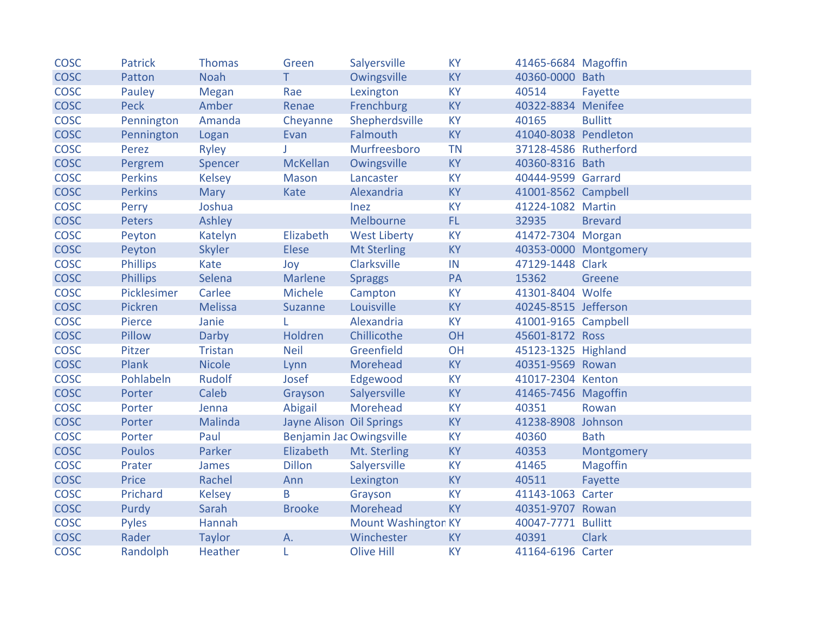| <b>COSC</b> | <b>Patrick</b>  | <b>Thomas</b>  | Green                           | Salyersville               | <b>KY</b> | 41465-6684 Magoffin   |                       |
|-------------|-----------------|----------------|---------------------------------|----------------------------|-----------|-----------------------|-----------------------|
| <b>COSC</b> | Patton          | <b>Noah</b>    | T                               | Owingsville                | <b>KY</b> | 40360-0000 Bath       |                       |
| <b>COSC</b> | Pauley          | Megan          | Rae                             | Lexington                  | <b>KY</b> | 40514                 | Fayette               |
| <b>COSC</b> | <b>Peck</b>     | Amber          | Renae                           | Frenchburg                 | <b>KY</b> | 40322-8834 Menifee    |                       |
| <b>COSC</b> | Pennington      | Amanda         | Cheyanne                        | Shepherdsville             | <b>KY</b> | 40165                 | <b>Bullitt</b>        |
| <b>COSC</b> | Pennington      | Logan          | Evan                            | Falmouth                   | <b>KY</b> | 41040-8038 Pendleton  |                       |
| <b>COSC</b> | Perez           | Ryley          |                                 | Murfreesboro               | <b>TN</b> | 37128-4586 Rutherford |                       |
| <b>COSC</b> | Pergrem         | Spencer        | McKellan                        | Owingsville                | <b>KY</b> | 40360-8316 Bath       |                       |
| <b>COSC</b> | <b>Perkins</b>  | <b>Kelsey</b>  | Mason                           | Lancaster                  | <b>KY</b> | 40444-9599 Garrard    |                       |
| <b>COSC</b> | <b>Perkins</b>  | <b>Mary</b>    | Kate                            | Alexandria                 | <b>KY</b> | 41001-8562 Campbell   |                       |
| <b>COSC</b> | Perry           | Joshua         |                                 | Inez                       | <b>KY</b> | 41224-1082 Martin     |                       |
| <b>COSC</b> | <b>Peters</b>   | Ashley         |                                 | Melbourne                  | FL.       | 32935                 | <b>Brevard</b>        |
| <b>COSC</b> | Peyton          | Katelyn        | Elizabeth                       | <b>West Liberty</b>        | <b>KY</b> | 41472-7304 Morgan     |                       |
| <b>COSC</b> | Peyton          | <b>Skyler</b>  | Elese                           | <b>Mt Sterling</b>         | <b>KY</b> |                       | 40353-0000 Montgomery |
| <b>COSC</b> | <b>Phillips</b> | Kate           | Joy                             | Clarksville                | IN        | 47129-1448 Clark      |                       |
| <b>COSC</b> | <b>Phillips</b> | Selena         | Marlene                         | <b>Spraggs</b>             | PA        | 15362                 | Greene                |
| <b>COSC</b> | Picklesimer     | Carlee         | Michele                         | Campton                    | <b>KY</b> | 41301-8404 Wolfe      |                       |
| <b>COSC</b> | Pickren         | <b>Melissa</b> | Suzanne                         | Louisville                 | <b>KY</b> | 40245-8515 Jefferson  |                       |
| <b>COSC</b> | Pierce          | Janie          |                                 | Alexandria                 | <b>KY</b> | 41001-9165 Campbell   |                       |
| <b>COSC</b> | Pillow          | Darby          | Holdren                         | Chillicothe                | <b>OH</b> | 45601-8172 Ross       |                       |
| <b>COSC</b> | Pitzer          | Tristan        | <b>Neil</b>                     | Greenfield                 | OH        | 45123-1325 Highland   |                       |
| <b>COSC</b> | Plank           | <b>Nicole</b>  | Lynn                            | Morehead                   | <b>KY</b> | 40351-9569 Rowan      |                       |
| <b>COSC</b> | Pohlabeln       | <b>Rudolf</b>  | Josef                           | Edgewood                   | <b>KY</b> | 41017-2304 Kenton     |                       |
| <b>COSC</b> | Porter          | Caleb          | Grayson                         | Salyersville               | <b>KY</b> | 41465-7456 Magoffin   |                       |
| <b>COSC</b> | Porter          | Jenna          | Abigail                         | Morehead                   | <b>KY</b> | 40351                 | Rowan                 |
| <b>COSC</b> | Porter          | Malinda        | Jayne Alison Oil Springs        |                            | <b>KY</b> | 41238-8908 Johnson    |                       |
| <b>COSC</b> | Porter          | Paul           | <b>Benjamin Jac Owingsville</b> |                            | <b>KY</b> | 40360                 | <b>Bath</b>           |
| <b>COSC</b> | <b>Poulos</b>   | Parker         | Elizabeth                       | Mt. Sterling               | <b>KY</b> | 40353                 | Montgomery            |
| <b>COSC</b> | Prater          | James          | <b>Dillon</b>                   | Salyersville               | <b>KY</b> | 41465                 | <b>Magoffin</b>       |
| <b>COSC</b> | Price           | Rachel         | Ann                             | Lexington                  | <b>KY</b> | 40511                 | Fayette               |
| <b>COSC</b> | Prichard        | <b>Kelsey</b>  | B                               | Grayson                    | <b>KY</b> | 41143-1063 Carter     |                       |
| <b>COSC</b> | Purdy           | Sarah          | <b>Brooke</b>                   | Morehead                   | <b>KY</b> | 40351-9707 Rowan      |                       |
| <b>COSC</b> | Pyles           | Hannah         |                                 | <b>Mount Washington KY</b> |           | 40047-7771 Bullitt    |                       |
| <b>COSC</b> | Rader           | <b>Taylor</b>  | A.                              | Winchester                 | <b>KY</b> | 40391                 | <b>Clark</b>          |
| <b>COSC</b> | Randolph        | Heather        | L                               | <b>Olive Hill</b>          | <b>KY</b> | 41164-6196 Carter     |                       |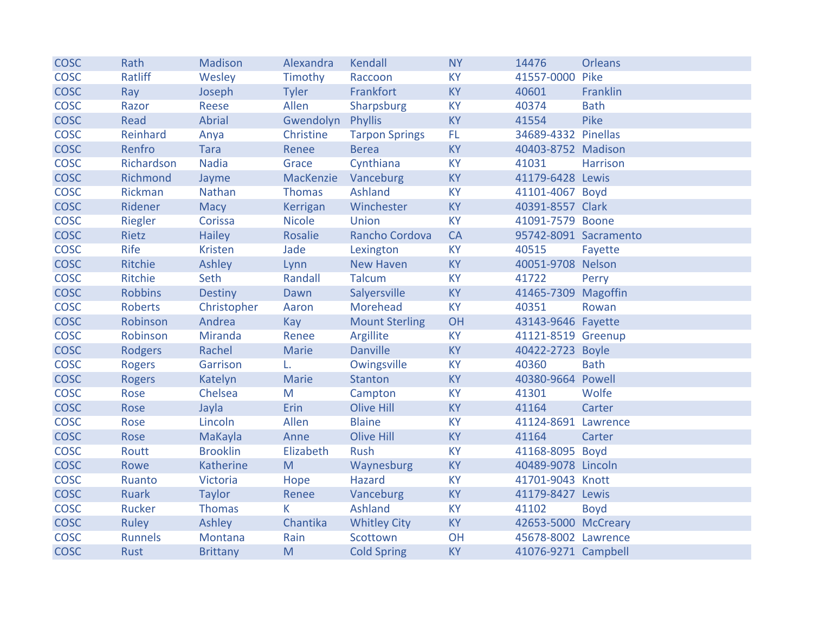| <b>COSC</b> | Rath           | Madison         | Alexandra     | Kendall               | <b>NY</b> | 14476               | <b>Orleans</b>        |
|-------------|----------------|-----------------|---------------|-----------------------|-----------|---------------------|-----------------------|
| <b>COSC</b> | Ratliff        | Wesley          | Timothy       | Raccoon               | <b>KY</b> | 41557-0000 Pike     |                       |
| <b>COSC</b> | Ray            | Joseph          | <b>Tyler</b>  | Frankfort             | <b>KY</b> | 40601               | Franklin              |
| <b>COSC</b> | Razor          | Reese           | Allen         | Sharpsburg            | <b>KY</b> | 40374               | <b>Bath</b>           |
| <b>COSC</b> | Read           | Abrial          | Gwendolyn     | Phyllis               | <b>KY</b> | 41554               | Pike                  |
| <b>COSC</b> | Reinhard       | Anya            | Christine     | <b>Tarpon Springs</b> | FL.       | 34689-4332 Pinellas |                       |
| <b>COSC</b> | Renfro         | Tara            | Renee         | <b>Berea</b>          | <b>KY</b> | 40403-8752 Madison  |                       |
| <b>COSC</b> | Richardson     | <b>Nadia</b>    | Grace         | Cynthiana             | <b>KY</b> | 41031               | Harrison              |
| <b>COSC</b> | Richmond       | Jayme           | MacKenzie     | Vanceburg             | <b>KY</b> | 41179-6428 Lewis    |                       |
| <b>COSC</b> | Rickman        | Nathan          | <b>Thomas</b> | Ashland               | <b>KY</b> | 41101-4067 Boyd     |                       |
| <b>COSC</b> | Ridener        | Macy            | Kerrigan      | Winchester            | <b>KY</b> | 40391-8557 Clark    |                       |
| <b>COSC</b> | Riegler        | Corissa         | <b>Nicole</b> | Union                 | <b>KY</b> | 41091-7579 Boone    |                       |
| <b>COSC</b> | Rietz          | <b>Hailey</b>   | Rosalie       | Rancho Cordova        | CA        |                     | 95742-8091 Sacramento |
| <b>COSC</b> | Rife           | <b>Kristen</b>  | Jade          | Lexington             | <b>KY</b> | 40515               | Fayette               |
| <b>COSC</b> | Ritchie        | Ashley          | Lynn          | New Haven             | <b>KY</b> | 40051-9708 Nelson   |                       |
| <b>COSC</b> | Ritchie        | Seth            | Randall       | <b>Talcum</b>         | <b>KY</b> | 41722               | Perry                 |
| <b>COSC</b> | <b>Robbins</b> | <b>Destiny</b>  | Dawn          | Salyersville          | <b>KY</b> | 41465-7309 Magoffin |                       |
| <b>COSC</b> | <b>Roberts</b> | Christopher     | Aaron         | Morehead              | <b>KY</b> | 40351               | Rowan                 |
| <b>COSC</b> | Robinson       | Andrea          | Kay           | <b>Mount Sterling</b> | OH        | 43143-9646 Fayette  |                       |
| <b>COSC</b> | Robinson       | Miranda         | Renee         | Argillite             | <b>KY</b> | 41121-8519 Greenup  |                       |
| <b>COSC</b> | Rodgers        | Rachel          | Marie         | <b>Danville</b>       | <b>KY</b> | 40422-2723 Boyle    |                       |
| <b>COSC</b> | <b>Rogers</b>  | Garrison        | L.            | Owingsville           | <b>KY</b> | 40360               | <b>Bath</b>           |
| <b>COSC</b> | <b>Rogers</b>  | Katelyn         | <b>Marie</b>  | Stanton               | <b>KY</b> | 40380-9664 Powell   |                       |
| <b>COSC</b> | Rose           | Chelsea         | M             | Campton               | <b>KY</b> | 41301               | Wolfe                 |
| <b>COSC</b> | Rose           | Jayla           | Erin          | <b>Olive Hill</b>     | <b>KY</b> | 41164               | Carter                |
| <b>COSC</b> | Rose           | Lincoln         | Allen         | <b>Blaine</b>         | <b>KY</b> | 41124-8691 Lawrence |                       |
| <b>COSC</b> | Rose           | MaKayla         | Anne          | <b>Olive Hill</b>     | <b>KY</b> | 41164               | Carter                |
| <b>COSC</b> | Routt          | <b>Brooklin</b> | Elizabeth     | Rush                  | <b>KY</b> | 41168-8095 Boyd     |                       |
| <b>COSC</b> | Rowe           | Katherine       | M             | Waynesburg            | <b>KY</b> | 40489-9078 Lincoln  |                       |
| <b>COSC</b> | Ruanto         | Victoria        | Hope          | Hazard                | <b>KY</b> | 41701-9043 Knott    |                       |
| <b>COSC</b> | <b>Ruark</b>   | <b>Taylor</b>   | Renee         | Vanceburg             | <b>KY</b> | 41179-8427 Lewis    |                       |
| <b>COSC</b> | <b>Rucker</b>  | Thomas          | K.            | Ashland               | <b>KY</b> | 41102               | <b>Boyd</b>           |
| <b>COSC</b> | Ruley          | Ashley          | Chantika      | <b>Whitley City</b>   | <b>KY</b> | 42653-5000 McCreary |                       |
| <b>COSC</b> | <b>Runnels</b> | Montana         | Rain          | Scottown              | OH        | 45678-8002 Lawrence |                       |
| <b>COSC</b> | Rust           | <b>Brittany</b> | M             | <b>Cold Spring</b>    | <b>KY</b> | 41076-9271 Campbell |                       |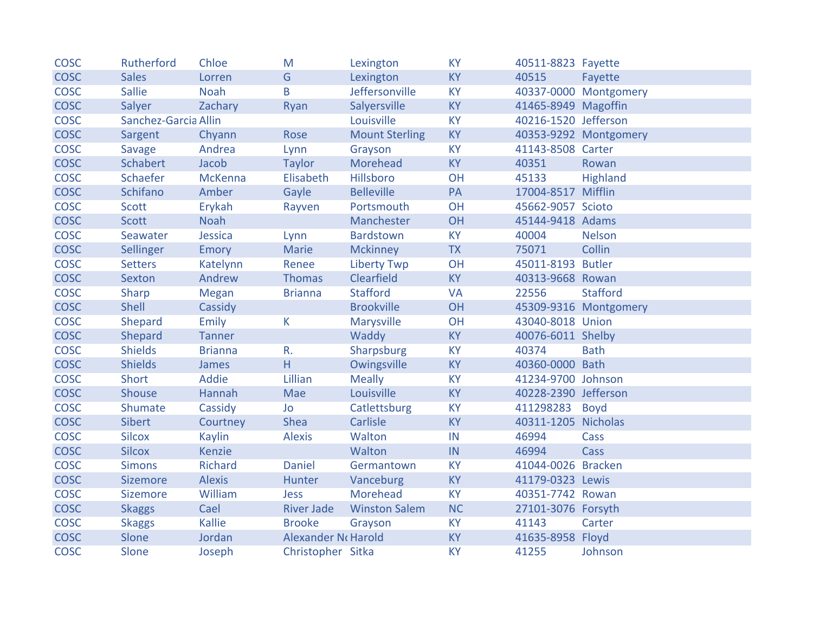| <b>COSC</b> | Rutherford           | Chloe          | M                   | Lexington             | <b>KY</b> | 40511-8823 Fayette   |                       |
|-------------|----------------------|----------------|---------------------|-----------------------|-----------|----------------------|-----------------------|
| <b>COSC</b> | <b>Sales</b>         | Lorren         | G                   | Lexington             | <b>KY</b> | 40515                | Fayette               |
| <b>COSC</b> | <b>Sallie</b>        | <b>Noah</b>    | B                   | Jeffersonville        | <b>KY</b> |                      | 40337-0000 Montgomery |
| <b>COSC</b> | Salyer               | Zachary        | Ryan                | Salyersville          | <b>KY</b> | 41465-8949 Magoffin  |                       |
| <b>COSC</b> | Sanchez-Garcia Allin |                |                     | Louisville            | <b>KY</b> | 40216-1520 Jefferson |                       |
| <b>COSC</b> | Sargent              | Chyann         | Rose                | <b>Mount Sterling</b> | <b>KY</b> |                      | 40353-9292 Montgomery |
| <b>COSC</b> | Savage               | Andrea         | Lynn                | Grayson               | <b>KY</b> | 41143-8508 Carter    |                       |
| <b>COSC</b> | Schabert             | Jacob          | <b>Taylor</b>       | Morehead              | <b>KY</b> | 40351                | Rowan                 |
| <b>COSC</b> | Schaefer             | <b>McKenna</b> | Elisabeth           | Hillsboro             | OH        | 45133                | Highland              |
| <b>COSC</b> | Schifano             | Amber          | Gayle               | <b>Belleville</b>     | PA        | 17004-8517 Mifflin   |                       |
| <b>COSC</b> | Scott                | Erykah         | Rayven              | Portsmouth            | <b>OH</b> | 45662-9057 Scioto    |                       |
| <b>COSC</b> | Scott                | <b>Noah</b>    |                     | Manchester            | OH        | 45144-9418 Adams     |                       |
| <b>COSC</b> | Seawater             | Jessica        | Lynn                | <b>Bardstown</b>      | <b>KY</b> | 40004                | <b>Nelson</b>         |
| <b>COSC</b> | Sellinger            | Emory          | Marie               | <b>Mckinney</b>       | <b>TX</b> | 75071                | Collin                |
| <b>COSC</b> | <b>Setters</b>       | Katelynn       | Renee               | <b>Liberty Twp</b>    | OH        | 45011-8193 Butler    |                       |
| <b>COSC</b> | <b>Sexton</b>        | Andrew         | <b>Thomas</b>       | Clearfield            | <b>KY</b> | 40313-9668 Rowan     |                       |
| <b>COSC</b> | Sharp                | Megan          | <b>Brianna</b>      | <b>Stafford</b>       | <b>VA</b> | 22556                | <b>Stafford</b>       |
| <b>COSC</b> | <b>Shell</b>         | Cassidy        |                     | <b>Brookville</b>     | <b>OH</b> |                      | 45309-9316 Montgomery |
| <b>COSC</b> | Shepard              | Emily          | K.                  | Marysville            | OH        | 43040-8018 Union     |                       |
| <b>COSC</b> | Shepard              | Tanner         |                     | Waddy                 | KY        | 40076-6011 Shelby    |                       |
| <b>COSC</b> | <b>Shields</b>       | <b>Brianna</b> | R.                  | Sharpsburg            | <b>KY</b> | 40374                | <b>Bath</b>           |
| <b>COSC</b> | <b>Shields</b>       | James          | H                   | Owingsville           | <b>KY</b> | 40360-0000 Bath      |                       |
| <b>COSC</b> | <b>Short</b>         | Addie          | Lillian             | <b>Meally</b>         | <b>KY</b> | 41234-9700 Johnson   |                       |
| <b>COSC</b> | <b>Shouse</b>        | Hannah         | Mae                 | Louisville            | <b>KY</b> | 40228-2390 Jefferson |                       |
| <b>COSC</b> | Shumate              | Cassidy        | Jo                  | Catlettsburg          | <b>KY</b> | 411298283 Boyd       |                       |
| <b>COSC</b> | <b>Sibert</b>        | Courtney       | <b>Shea</b>         | Carlisle              | <b>KY</b> | 40311-1205 Nicholas  |                       |
| <b>COSC</b> | <b>Silcox</b>        | <b>Kaylin</b>  | <b>Alexis</b>       | Walton                | IN        | 46994                | Cass                  |
| <b>COSC</b> | <b>Silcox</b>        | <b>Kenzie</b>  |                     | Walton                | IN        | 46994                | Cass                  |
| <b>COSC</b> | <b>Simons</b>        | Richard        | <b>Daniel</b>       | Germantown            | <b>KY</b> | 41044-0026 Bracken   |                       |
| <b>COSC</b> | <b>Sizemore</b>      | <b>Alexis</b>  | Hunter              | Vanceburg             | <b>KY</b> | 41179-0323 Lewis     |                       |
| <b>COSC</b> | <b>Sizemore</b>      | William        | <b>Jess</b>         | Morehead              | <b>KY</b> | 40351-7742 Rowan     |                       |
| <b>COSC</b> | <b>Skaggs</b>        | Cael           | <b>River Jade</b>   | <b>Winston Salem</b>  | <b>NC</b> | 27101-3076 Forsyth   |                       |
| <b>COSC</b> | <b>Skaggs</b>        | Kallie         | <b>Brooke</b>       | Grayson               | <b>KY</b> | 41143                | Carter                |
| <b>COSC</b> | Slone                | Jordan         | Alexander No Harold |                       | <b>KY</b> | 41635-8958 Floyd     |                       |
| <b>COSC</b> | Slone                | Joseph         | Christopher Sitka   |                       | <b>KY</b> | 41255                | Johnson               |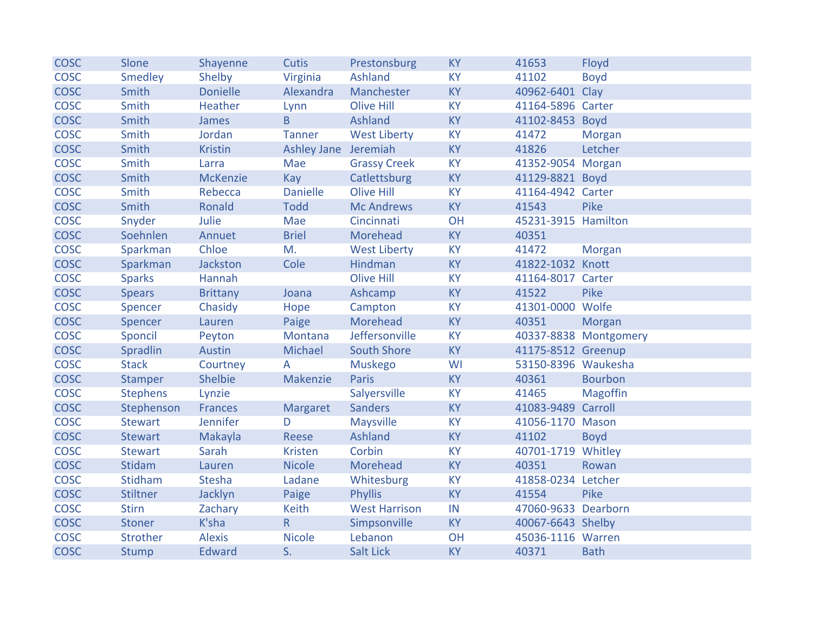| <b>COSC</b> | Slone           | Shayenne        | <b>Cutis</b>            | Prestonsburg         | <b>KY</b> | 41653               | Floyd                 |
|-------------|-----------------|-----------------|-------------------------|----------------------|-----------|---------------------|-----------------------|
| <b>COSC</b> | Smedley         | Shelby          | Virginia                | Ashland              | <b>KY</b> | 41102               | <b>Boyd</b>           |
| <b>COSC</b> | Smith           | <b>Donielle</b> | Alexandra               | Manchester           | <b>KY</b> | 40962-6401 Clay     |                       |
| <b>COSC</b> | Smith           | Heather         | Lynn                    | <b>Olive Hill</b>    | <b>KY</b> | 41164-5896 Carter   |                       |
| <b>COSC</b> | Smith           | James           | B                       | Ashland              | <b>KY</b> | 41102-8453 Boyd     |                       |
| <b>COSC</b> | Smith           | Jordan          | <b>Tanner</b>           | <b>West Liberty</b>  | <b>KY</b> | 41472               | Morgan                |
| <b>COSC</b> | Smith           | <b>Kristin</b>  | Ashley Jane Jeremiah    |                      | <b>KY</b> | 41826               | Letcher               |
| <b>COSC</b> | Smith           | Larra           | Mae                     | <b>Grassy Creek</b>  | <b>KY</b> | 41352-9054 Morgan   |                       |
| <b>COSC</b> | Smith           | <b>McKenzie</b> | Kay                     | Catlettsburg         | <b>KY</b> | 41129-8821 Boyd     |                       |
| <b>COSC</b> | Smith           | Rebecca         | <b>Danielle</b>         | <b>Olive Hill</b>    | <b>KY</b> | 41164-4942 Carter   |                       |
| <b>COSC</b> | Smith           | Ronald          | <b>Todd</b>             | <b>Mc Andrews</b>    | <b>KY</b> | 41543               | Pike                  |
| <b>COSC</b> | Snyder          | Julie           | Mae                     | Cincinnati           | OH        | 45231-3915 Hamilton |                       |
| <b>COSC</b> | Soehnlen        | Annuet          | <b>Briel</b>            | Morehead             | <b>KY</b> | 40351               |                       |
| <b>COSC</b> | Sparkman        | Chloe           | M.                      | <b>West Liberty</b>  | <b>KY</b> | 41472               | Morgan                |
| <b>COSC</b> | Sparkman        | Jackston        | Cole                    | Hindman              | <b>KY</b> | 41822-1032 Knott    |                       |
| <b>COSC</b> | <b>Sparks</b>   | Hannah          |                         | <b>Olive Hill</b>    | <b>KY</b> | 41164-8017 Carter   |                       |
| <b>COSC</b> | <b>Spears</b>   | <b>Brittany</b> | Joana                   | Ashcamp              | <b>KY</b> | 41522               | Pike                  |
| <b>COSC</b> | Spencer         | Chasidy         | Hope                    | Campton              | <b>KY</b> | 41301-0000 Wolfe    |                       |
| <b>COSC</b> | Spencer         | Lauren          | Paige                   | Morehead             | <b>KY</b> | 40351               | Morgan                |
| <b>COSC</b> | Sponcil         | Peyton          | Montana                 | Jeffersonville       | <b>KY</b> |                     | 40337-8838 Montgomery |
| <b>COSC</b> | Spradlin        | Austin          | Michael                 | <b>South Shore</b>   | <b>KY</b> | 41175-8512 Greenup  |                       |
| <b>COSC</b> | <b>Stack</b>    | Courtney        | A                       | <b>Muskego</b>       | WI        | 53150-8396 Waukesha |                       |
| <b>COSC</b> | <b>Stamper</b>  | Shelbie         | Makenzie                | Paris                | <b>KY</b> | 40361               | <b>Bourbon</b>        |
| <b>COSC</b> | <b>Stephens</b> | Lynzie          |                         | Salyersville         | <b>KY</b> | 41465               | <b>Magoffin</b>       |
| <b>COSC</b> | Stephenson      | <b>Frances</b>  | <b>Margaret</b>         | <b>Sanders</b>       | <b>KY</b> | 41083-9489 Carroll  |                       |
| <b>COSC</b> | <b>Stewart</b>  | Jennifer        | D                       | Maysville            | <b>KY</b> | 41056-1170 Mason    |                       |
| <b>COSC</b> | <b>Stewart</b>  | Makayla         | Reese                   | Ashland              | <b>KY</b> | 41102               | <b>Boyd</b>           |
| COSC        | <b>Stewart</b>  | Sarah           | <b>Kristen</b>          | Corbin               | <b>KY</b> | 40701-1719 Whitley  |                       |
| <b>COSC</b> | <b>Stidam</b>   | Lauren          | <b>Nicole</b>           | Morehead             | <b>KY</b> | 40351               | Rowan                 |
| <b>COSC</b> | Stidham         | Stesha          | Ladane                  | Whitesburg           | KY        | 41858-0234 Letcher  |                       |
| <b>COSC</b> | Stiltner        | Jacklyn         | Paige                   | <b>Phyllis</b>       | <b>KY</b> | 41554               | Pike                  |
| <b>COSC</b> | <b>Stirn</b>    | Zachary         | Keith                   | <b>West Harrison</b> | IN        | 47060-9633 Dearborn |                       |
| <b>COSC</b> | Stoner          | K'sha           | $\overline{\mathsf{R}}$ | Simpsonville         | <b>KY</b> | 40067-6643 Shelby   |                       |
| <b>COSC</b> | Strother        | <b>Alexis</b>   | <b>Nicole</b>           | Lebanon              | OH        | 45036-1116 Warren   |                       |
| <b>COSC</b> | <b>Stump</b>    | <b>Edward</b>   | S.                      | Salt Lick            | <b>KY</b> | 40371               | <b>Bath</b>           |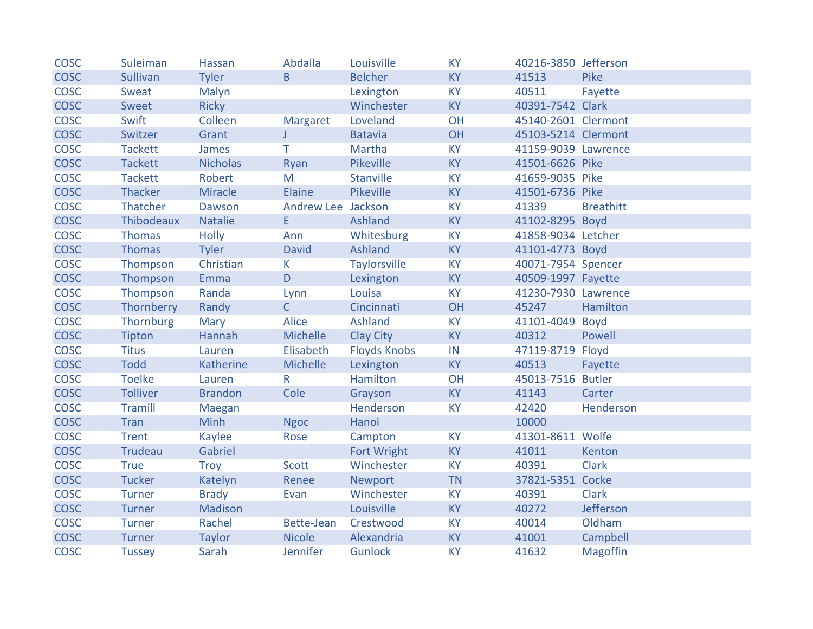| <b>COSC</b> | Suleiman        | Hassan          | Abdalla            | Louisville          | <b>KY</b> | 40216-3850 Jefferson |                  |
|-------------|-----------------|-----------------|--------------------|---------------------|-----------|----------------------|------------------|
| <b>COSC</b> | <b>Sullivan</b> | Tyler           | B.                 | <b>Belcher</b>      | <b>KY</b> | 41513                | Pike             |
| <b>COSC</b> | Sweat           | Malyn           |                    | Lexington           | <b>KY</b> | 40511                | Fayette          |
| <b>COSC</b> | <b>Sweet</b>    | <b>Ricky</b>    |                    | Winchester          | <b>KY</b> | 40391-7542 Clark     |                  |
| <b>COSC</b> | Swift           | Colleen         | Margaret           | Loveland            | <b>OH</b> | 45140-2601 Clermont  |                  |
| <b>COSC</b> | Switzer         | Grant           | $\Gamma$           | <b>Batavia</b>      | OH        | 45103-5214 Clermont  |                  |
| <b>COSC</b> | <b>Tackett</b>  | James           | T.                 | Martha              | <b>KY</b> | 41159-9039 Lawrence  |                  |
| <b>COSC</b> | <b>Tackett</b>  | <b>Nicholas</b> | Ryan               | <b>Pikeville</b>    | <b>KY</b> | 41501-6626 Pike      |                  |
| <b>COSC</b> | <b>Tackett</b>  | Robert          | M                  | <b>Stanville</b>    | <b>KY</b> | 41659-9035 Pike      |                  |
| <b>COSC</b> | Thacker         | Miracle         | Elaine             | Pikeville           | <b>KY</b> | 41501-6736 Pike      |                  |
| <b>COSC</b> | Thatcher        | Dawson          | Andrew Lee Jackson |                     | <b>KY</b> | 41339                | <b>Breathitt</b> |
| <b>COSC</b> | Thibodeaux      | <b>Natalie</b>  | E                  | Ashland             | <b>KY</b> | 41102-8295 Boyd      |                  |
| <b>COSC</b> | <b>Thomas</b>   | <b>Holly</b>    | Ann                | Whitesburg          | KY        | 41858-9034 Letcher   |                  |
| <b>COSC</b> | <b>Thomas</b>   | Tyler           | <b>David</b>       | Ashland             | <b>KY</b> | 41101-4773 Boyd      |                  |
| <b>COSC</b> | Thompson        | Christian       | K.                 | <b>Taylorsville</b> | <b>KY</b> | 40071-7954 Spencer   |                  |
| <b>COSC</b> | Thompson        | Emma            | D                  | Lexington           | <b>KY</b> | 40509-1997 Fayette   |                  |
| <b>COSC</b> | Thompson        | Randa           | Lynn               | Louisa              | <b>KY</b> | 41230-7930 Lawrence  |                  |
| <b>COSC</b> | Thornberry      | Randy           | $\mathsf{C}$       | Cincinnati          | OH        | 45247                | Hamilton         |
| <b>COSC</b> | Thornburg       | <b>Mary</b>     | Alice              | <b>Ashland</b>      | <b>KY</b> | 41101-4049 Boyd      |                  |
| <b>COSC</b> | Tipton          | Hannah          | Michelle           | <b>Clay City</b>    | <b>KY</b> | 40312                | Powell           |
| <b>COSC</b> | <b>Titus</b>    | Lauren          | Elisabeth          | <b>Floyds Knobs</b> | IN        | 47119-8719 Floyd     |                  |
| <b>COSC</b> | <b>Todd</b>     | Katherine       | Michelle           | Lexington           | <b>KY</b> | 40513                | Fayette          |
| <b>COSC</b> | <b>Toelke</b>   | Lauren          | $R_{\parallel}$    | Hamilton            | <b>OH</b> | 45013-7516 Butler    |                  |
| <b>COSC</b> | <b>Tolliver</b> | <b>Brandon</b>  | Cole               | Grayson             | <b>KY</b> | 41143                | Carter           |
| <b>COSC</b> | <b>Tramill</b>  | Maegan          |                    | Henderson           | <b>KY</b> | 42420                | Henderson        |
| <b>COSC</b> | <b>Tran</b>     | <b>Minh</b>     | <b>Ngoc</b>        | Hanoi               |           | 10000                |                  |
| COSC        | <b>Trent</b>    | Kaylee          | Rose               | Campton             | KY        | 41301-8611 Wolfe     |                  |
| COSC        | Trudeau         | Gabriel         |                    | Fort Wright         | <b>KY</b> | 41011                | Kenton           |
| <b>COSC</b> | <b>True</b>     | <b>Troy</b>     | Scott              | Winchester          | <b>KY</b> | 40391                | <b>Clark</b>     |
| <b>COSC</b> | <b>Tucker</b>   | Katelyn         | Renee              | <b>Newport</b>      | <b>TN</b> | 37821-5351 Cocke     |                  |
| <b>COSC</b> | <b>Turner</b>   | <b>Brady</b>    | Evan               | Winchester          | <b>KY</b> | 40391                | <b>Clark</b>     |
| <b>COSC</b> | <b>Turner</b>   | Madison         |                    | Louisville          | <b>KY</b> | 40272                | Jefferson        |
| <b>COSC</b> | Turner          | Rachel          | Bette-Jean         | Crestwood           | <b>KY</b> | 40014                | Oldham           |
| <b>COSC</b> | Turner          | <b>Taylor</b>   | <b>Nicole</b>      | Alexandria          | <b>KY</b> | 41001                | Campbell         |
| <b>COSC</b> | <b>Tussey</b>   | Sarah           | Jennifer           | <b>Gunlock</b>      | <b>KY</b> | 41632                | <b>Magoffin</b>  |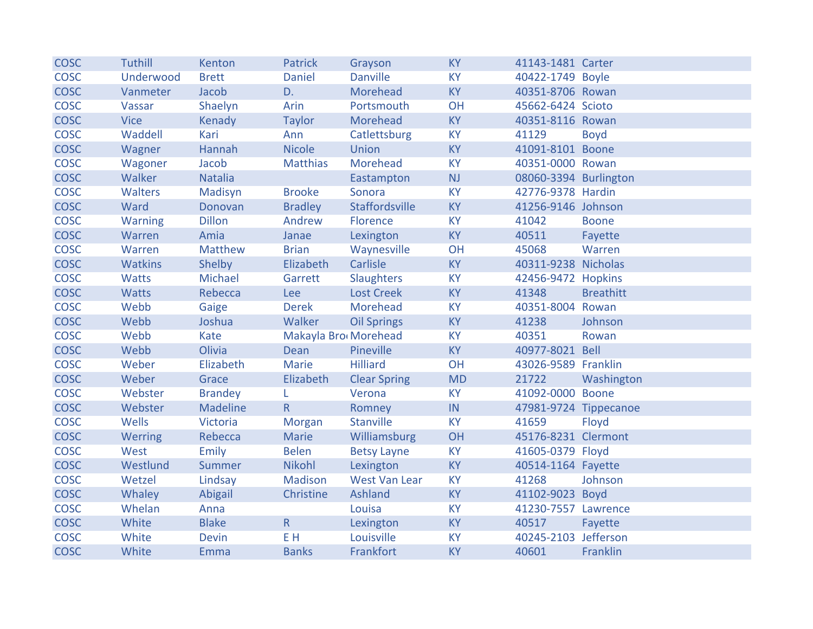| <b>COSC</b> | <b>Tuthill</b> | Kenton         | <b>Patrick</b>       | Grayson             | <b>KY</b> | 41143-1481 Carter     |                  |
|-------------|----------------|----------------|----------------------|---------------------|-----------|-----------------------|------------------|
| <b>COSC</b> | Underwood      | <b>Brett</b>   | <b>Daniel</b>        | <b>Danville</b>     | <b>KY</b> | 40422-1749 Boyle      |                  |
| <b>COSC</b> | Vanmeter       | Jacob          | D.                   | Morehead            | <b>KY</b> | 40351-8706 Rowan      |                  |
| <b>COSC</b> | Vassar         | Shaelyn        | Arin                 | Portsmouth          | OH        | 45662-6424 Scioto     |                  |
| <b>COSC</b> | <b>Vice</b>    | Kenady         | Taylor               | Morehead            | <b>KY</b> | 40351-8116 Rowan      |                  |
| <b>COSC</b> | Waddell        | Kari           | Ann                  | Catlettsburg        | <b>KY</b> | 41129                 | <b>Boyd</b>      |
| <b>COSC</b> | Wagner         | Hannah         | <b>Nicole</b>        | Union               | <b>KY</b> | 41091-8101 Boone      |                  |
| <b>COSC</b> | Wagoner        | Jacob          | <b>Matthias</b>      | Morehead            | <b>KY</b> | 40351-0000 Rowan      |                  |
| <b>COSC</b> | Walker         | <b>Natalia</b> |                      | Eastampton          | NJ        | 08060-3394 Burlington |                  |
| <b>COSC</b> | Walters        | Madisyn        | <b>Brooke</b>        | Sonora              | <b>KY</b> | 42776-9378 Hardin     |                  |
| <b>COSC</b> | Ward           | Donovan        | <b>Bradley</b>       | Staffordsville      | <b>KY</b> | 41256-9146 Johnson    |                  |
| <b>COSC</b> | <b>Warning</b> | <b>Dillon</b>  | Andrew               | Florence            | <b>KY</b> | 41042                 | <b>Boone</b>     |
| <b>COSC</b> | Warren         | Amia           | Janae                | Lexington           | KY        | 40511                 | Fayette          |
| <b>COSC</b> | Warren         | Matthew        | <b>Brian</b>         | Waynesville         | OH        | 45068                 | Warren           |
| <b>COSC</b> | <b>Watkins</b> | Shelby         | Elizabeth            | Carlisle            | <b>KY</b> | 40311-9238 Nicholas   |                  |
| <b>COSC</b> | <b>Watts</b>   | Michael        | Garrett              | <b>Slaughters</b>   | <b>KY</b> | 42456-9472 Hopkins    |                  |
| <b>COSC</b> | <b>Watts</b>   | Rebecca        | Lee                  | <b>Lost Creek</b>   | <b>KY</b> | 41348                 | <b>Breathitt</b> |
| <b>COSC</b> | Webb           | Gaige          | <b>Derek</b>         | Morehead            | <b>KY</b> | 40351-8004 Rowan      |                  |
| <b>COSC</b> | Webb           | Joshua         | Walker               | <b>Oil Springs</b>  | <b>KY</b> | 41238                 | Johnson          |
| <b>COSC</b> | Webb           | Kate           | Makayla Bro Morehead |                     | <b>KY</b> | 40351                 | Rowan            |
| <b>COSC</b> | Webb           | Olivia         | Dean                 | Pineville           | <b>KY</b> | 40977-8021 Bell       |                  |
| <b>COSC</b> | Weber          | Elizabeth      | Marie                | <b>Hilliard</b>     | OH        | 43026-9589 Franklin   |                  |
| <b>COSC</b> | Weber          | Grace          | Elizabeth            | <b>Clear Spring</b> | <b>MD</b> | 21722                 | Washington       |
| <b>COSC</b> | Webster        | <b>Brandey</b> | L.                   | Verona              | <b>KY</b> | 41092-0000 Boone      |                  |
| <b>COSC</b> | Webster        | Madeline       | R.                   | Romney              | IN        | 47981-9724 Tippecanoe |                  |
| <b>COSC</b> | Wells          | Victoria       | Morgan               | Stanville           | <b>KY</b> | 41659                 | Floyd            |
| <b>COSC</b> | Werring        | Rebecca        | Marie                | Williamsburg        | OH        | 45176-8231 Clermont   |                  |
| <b>COSC</b> | West           | Emily          | <b>Belen</b>         | <b>Betsy Layne</b>  | <b>KY</b> | 41605-0379 Floyd      |                  |
| <b>COSC</b> | Westlund       | Summer         | Nikohl               | Lexington           | <b>KY</b> | 40514-1164 Fayette    |                  |
| <b>COSC</b> | Wetzel         | Lindsay        | Madison              | West Van Lear       | <b>KY</b> | 41268                 | Johnson          |
| <b>COSC</b> | Whaley         | Abigail        | Christine            | Ashland             | <b>KY</b> | 41102-9023 Boyd       |                  |
| <b>COSC</b> | Whelan         | Anna           |                      | Louisa              | <b>KY</b> | 41230-7557 Lawrence   |                  |
| <b>COSC</b> | White          | <b>Blake</b>   | $\overline{R}$       | Lexington           | <b>KY</b> | 40517                 | Fayette          |
| <b>COSC</b> | White          | <b>Devin</b>   | E H                  | Louisville          | <b>KY</b> | 40245-2103 Jefferson  |                  |
| <b>COSC</b> | White          | Emma           | <b>Banks</b>         | Frankfort           | <b>KY</b> | 40601                 | Franklin         |